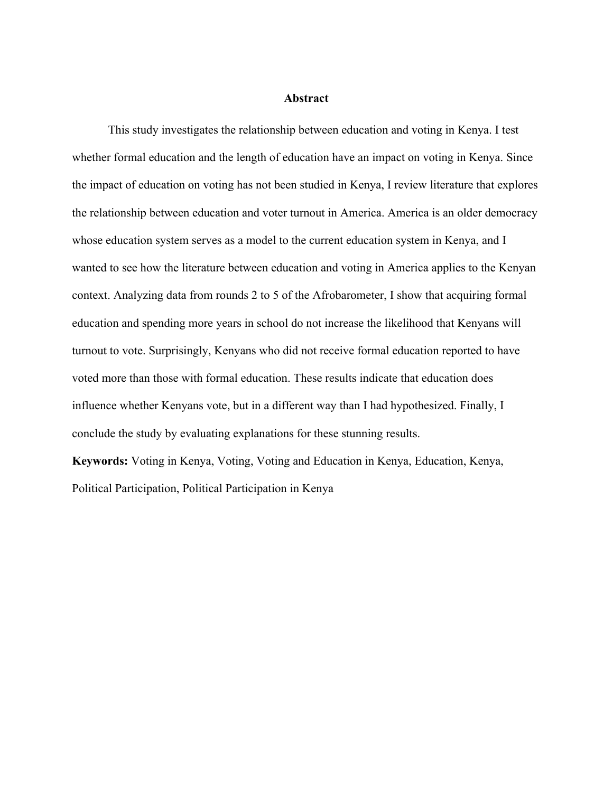#### **Abstract**

This study investigates the relationship between education and voting in Kenya. I test whether formal education and the length of education have an impact on voting in Kenya. Since the impact of education on voting has not been studied in Kenya, I review literature that explores the relationship between education and voter turnout in America. America is an older democracy whose education system serves as a model to the current education system in Kenya, and I wanted to see how the literature between education and voting in America applies to the Kenyan context. Analyzing data from rounds 2 to 5 of the Afrobarometer, I show that acquiring formal education and spending more years in school do not increase the likelihood that Kenyans will turnout to vote. Surprisingly, Kenyans who did not receive formal education reported to have voted more than those with formal education. These results indicate that education does influence whether Kenyans vote, but in a different way than I had hypothesized. Finally, I conclude the study by evaluating explanations for these stunning results.

**Keywords:** Voting in Kenya, Voting, Voting and Education in Kenya, Education, Kenya, Political Participation, Political Participation in Kenya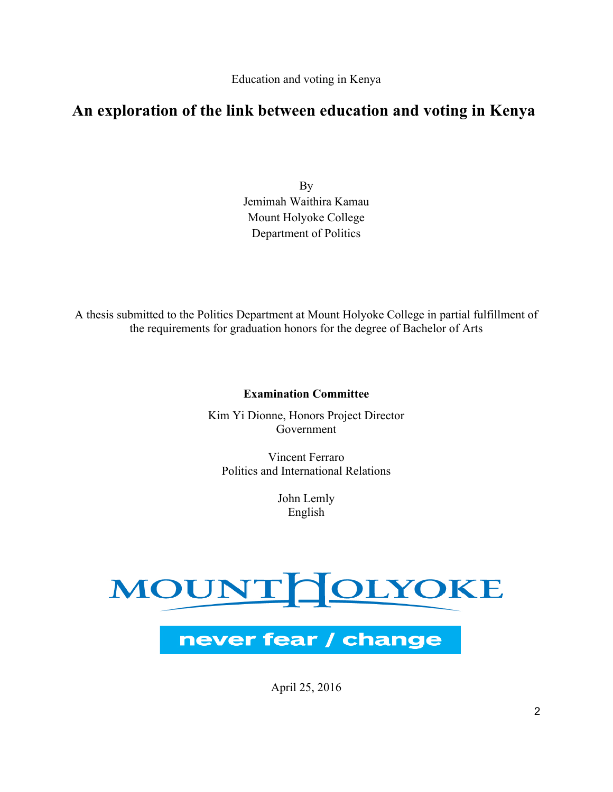## **An exploration of the link between education and voting in Kenya**

By Jemimah Waithira Kamau Mount Holyoke College Department of Politics

A thesis submitted to the Politics Department at Mount Holyoke College in partial fulfillment of the requirements for graduation honors for the degree of Bachelor of Arts

### **Examination Committee**

Kim Yi Dionne, Honors Project Director Government

Vincent Ferraro Politics and International Relations

> John Lemly English

# MOUNTHOLYOKE



April 25, 2016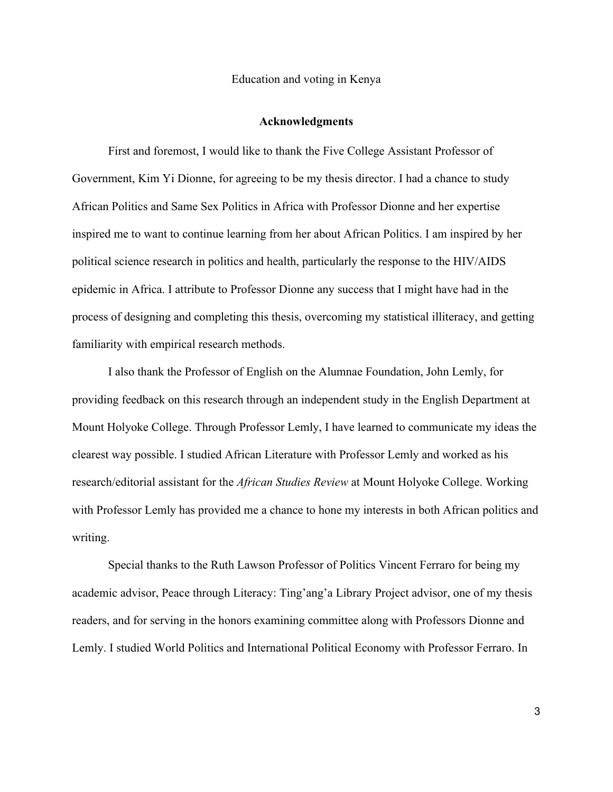#### **Acknowledgments**

First and foremost, I would like to thank the Five College Assistant Professor of Government, Kim Yi Dionne, for agreeing to be my thesis director. I had a chance to study African Politics and Same Sex Politics in Africa with Professor Dionne and her expertise inspired me to want to continue learning from her about African Politics. I am inspired by her political science research in politics and health, particularly the response to the HIV/AIDS epidemic in Africa. I attribute to Professor Dionne any success that I might have had in the process of designing and completing this thesis, overcoming my statistical illiteracy, and getting familiarity with empirical research methods.

I also thank the Professor of English on the Alumnae Foundation, John Lemly, for providing feedback on this research through an independent study in the English Department at Mount Holyoke College. Through Professor Lemly, I have learned to communicate my ideas the clearest way possible. I studied African Literature with Professor Lemly and worked as his research/editorial assistant for the *African Studies Review* at Mount Holyoke College. Working with Professor Lemly has provided me a chance to hone my interests in both African politics and writing.

Special thanks to the Ruth Lawson Professor of Politics Vincent Ferraro for being my academic advisor, Peace through Literacy: Ting'ang'a Library Project advisor, one of my thesis readers, and for serving in the honors examining committee along with Professors Dionne and Lemly. I studied World Politics and International Political Economy with Professor Ferraro. In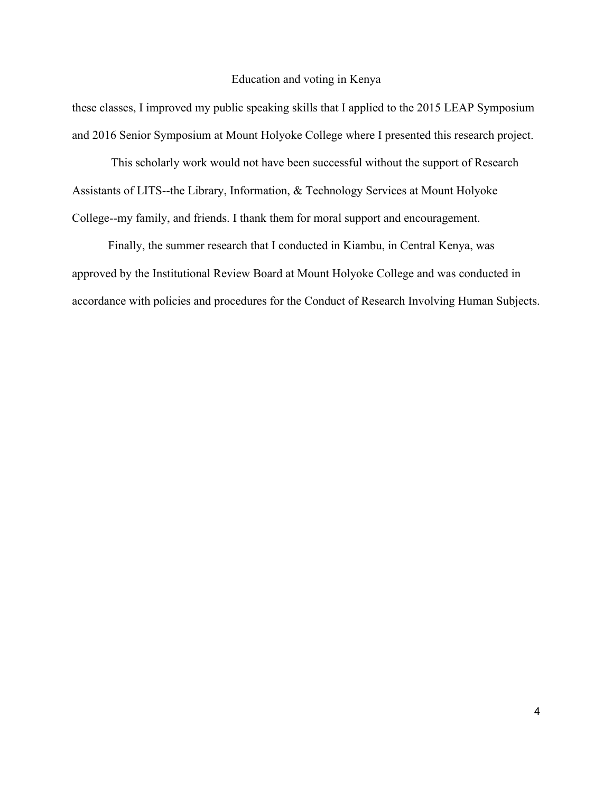these classes, I improved my public speaking skills that I applied to the 2015 LEAP Symposium and 2016 Senior Symposium at Mount Holyoke College where I presented this research project.

This scholarly work would not have been successful without the support of Research Assistants of LITS--the Library, Information, & Technology Services at Mount Holyoke College--my family, and friends. I thank them for moral support and encouragement.

Finally, the summer research that I conducted in Kiambu, in Central Kenya, was approved by the Institutional Review Board at Mount Holyoke College and was conducted in accordance with policies and procedures for the Conduct of Research Involving Human Subjects.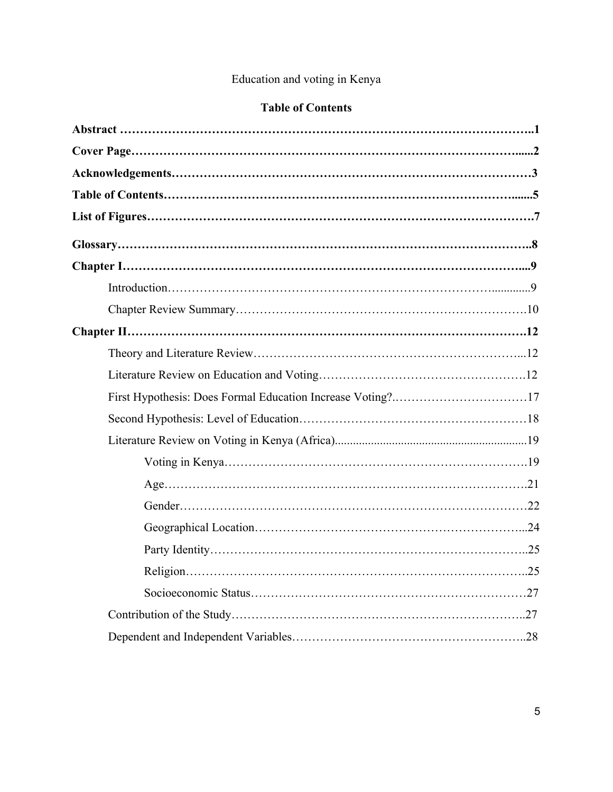## **Table of Contents**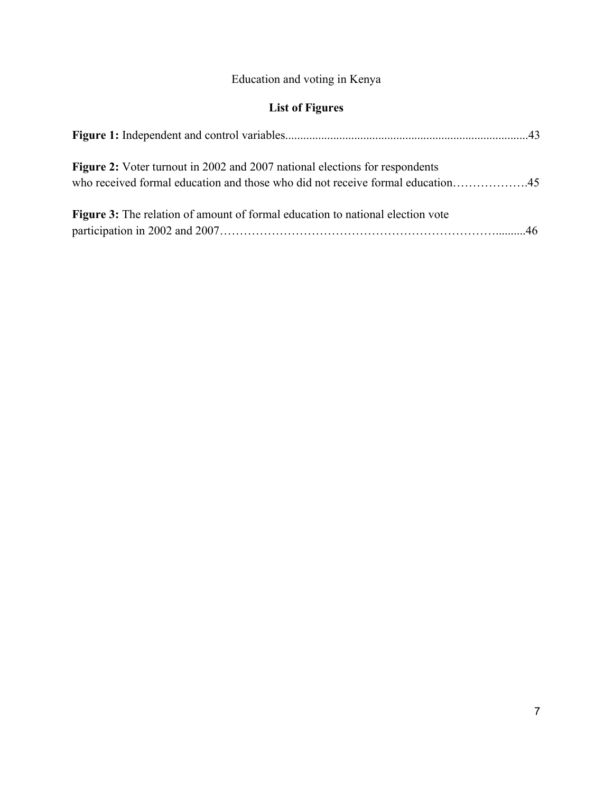# **List of Figures**

| <b>Figure 2:</b> Voter turnout in 2002 and 2007 national elections for respondents<br>who received formal education and those who did not receive formal education45 |  |
|----------------------------------------------------------------------------------------------------------------------------------------------------------------------|--|
| <b>Figure 3:</b> The relation of amount of formal education to national election vote                                                                                |  |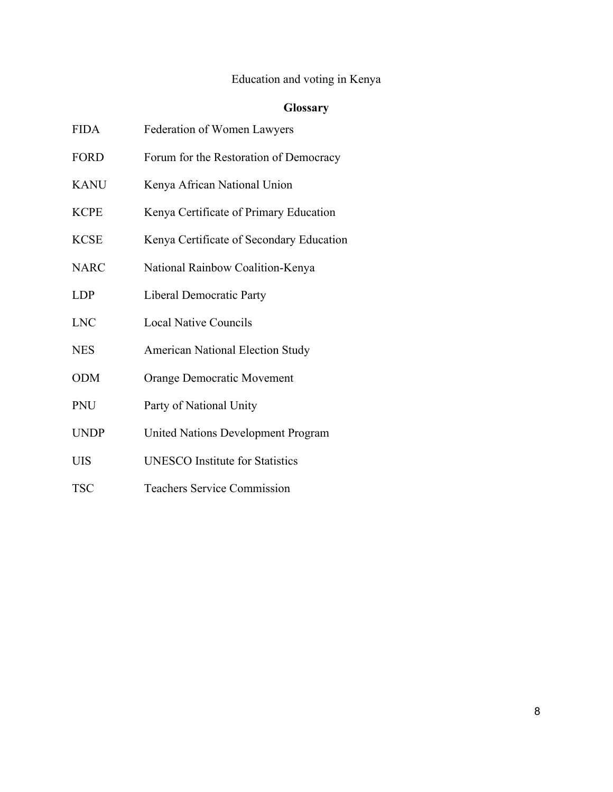# **Glossary**

| <b>FIDA</b> | Federation of Women Lawyers               |
|-------------|-------------------------------------------|
| <b>FORD</b> | Forum for the Restoration of Democracy    |
| <b>KANU</b> | Kenya African National Union              |
| KCPE        | Kenya Certificate of Primary Education    |
| KCSE        | Kenya Certificate of Secondary Education  |
| <b>NARC</b> | National Rainbow Coalition-Kenya          |
| <b>LDP</b>  | <b>Liberal Democratic Party</b>           |
| <b>LNC</b>  | <b>Local Native Councils</b>              |
| <b>NES</b>  | <b>American National Election Study</b>   |
| <b>ODM</b>  | Orange Democratic Movement                |
| <b>PNU</b>  | Party of National Unity                   |
| <b>UNDP</b> | <b>United Nations Development Program</b> |
| UIS         | <b>UNESCO</b> Institute for Statistics    |

TSC Teachers Service Commission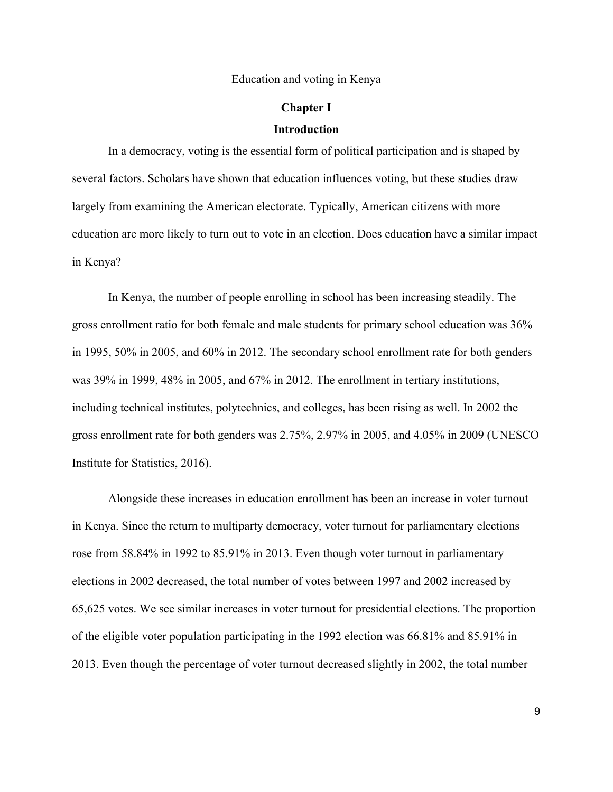## **Chapter I Introduction**

In a democracy, voting is the essential form of political participation and is shaped by several factors. Scholars have shown that education influences voting, but these studies draw largely from examining the American electorate. Typically, American citizens with more education are more likely to turn out to vote in an election. Does education have a similar impact in Kenya?

In Kenya, the number of people enrolling in school has been increasing steadily. The gross enrollment ratio for both female and male students for primary school education was 36% in 1995, 50% in 2005, and 60% in 2012. The secondary school enrollment rate for both genders was 39% in 1999, 48% in 2005, and 67% in 2012. The enrollment in tertiary institutions, including technical institutes, polytechnics, and colleges, has been rising as well. In 2002 the gross enrollment rate for both genders was 2.75%, 2.97% in 2005, and 4.05% in 2009 (UNESCO Institute for Statistics, 2016).

Alongside these increases in education enrollment has been an increase in voter turnout in Kenya. Since the return to multiparty democracy, voter turnout for parliamentary elections rose from 58.84% in 1992 to 85.91% in 2013. Even though voter turnout in parliamentary elections in 2002 decreased, the total number of votes between 1997 and 2002 increased by 65,625 votes. We see similar increases in voter turnout for presidential elections. The proportion of the eligible voter population participating in the 1992 election was 66.81% and 85.91% in 2013. Even though the percentage of voter turnout decreased slightly in 2002, the total number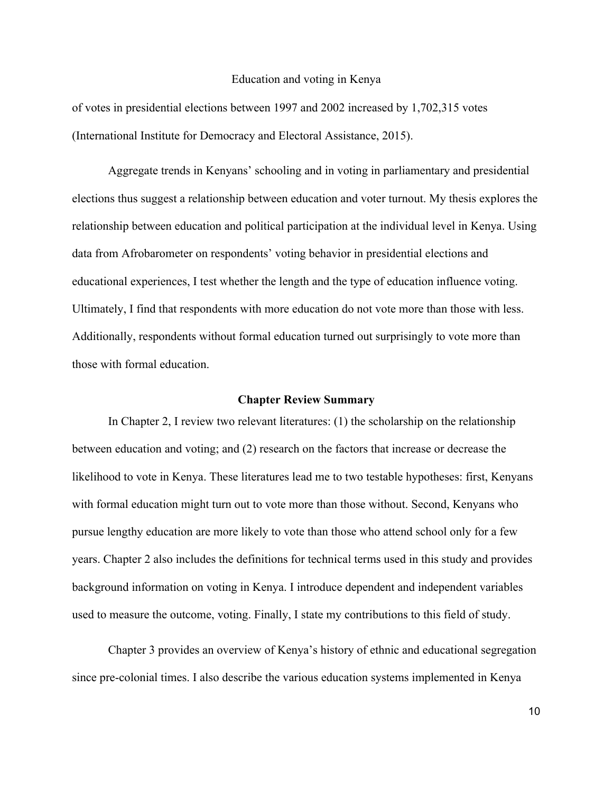of votes in presidential elections between 1997 and 2002 increased by 1,702,315 votes (International Institute for Democracy and Electoral Assistance, 2015).

Aggregate trends in Kenyans' schooling and in voting in parliamentary and presidential elections thus suggest a relationship between education and voter turnout. My thesis explores the relationship between education and political participation at the individual level in Kenya. Using data from Afrobarometer on respondents' voting behavior in presidential elections and educational experiences, I test whether the length and the type of education influence voting. Ultimately, I find that respondents with more education do not vote more than those with less. Additionally, respondents without formal education turned out surprisingly to vote more than those with formal education.

#### **Chapter Review Summary**

In Chapter 2, I review two relevant literatures: (1) the scholarship on the relationship between education and voting; and (2) research on the factors that increase or decrease the likelihood to vote in Kenya. These literatures lead me to two testable hypotheses: first, Kenyans with formal education might turn out to vote more than those without. Second, Kenyans who pursue lengthy education are more likely to vote than those who attend school only for a few years. Chapter 2 also includes the definitions for technical terms used in this study and provides background information on voting in Kenya. I introduce dependent and independent variables used to measure the outcome, voting. Finally, I state my contributions to this field of study.

Chapter 3 provides an overview of Kenya's history of ethnic and educational segregation since pre-colonial times. I also describe the various education systems implemented in Kenya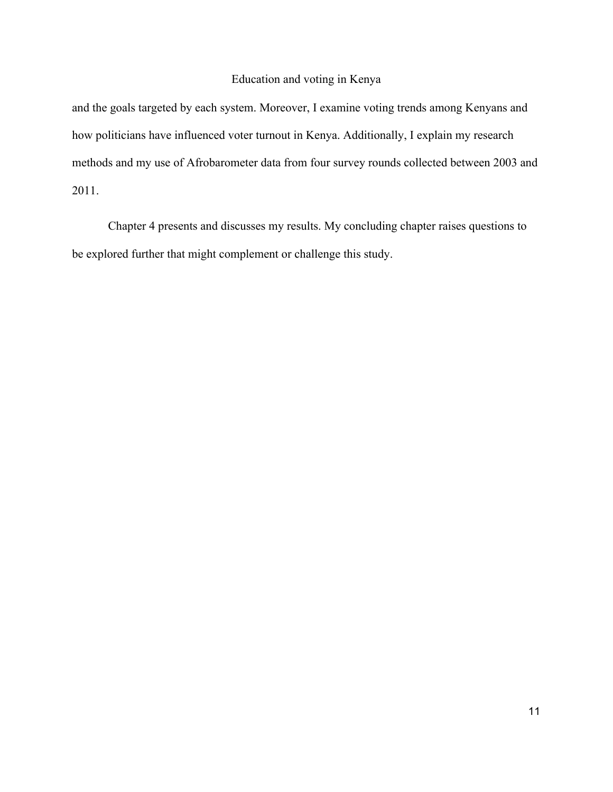and the goals targeted by each system. Moreover, I examine voting trends among Kenyans and how politicians have influenced voter turnout in Kenya. Additionally, I explain my research methods and my use of Afrobarometer data from four survey rounds collected between 2003 and 2011.

Chapter 4 presents and discusses my results. My concluding chapter raises questions to be explored further that might complement or challenge this study.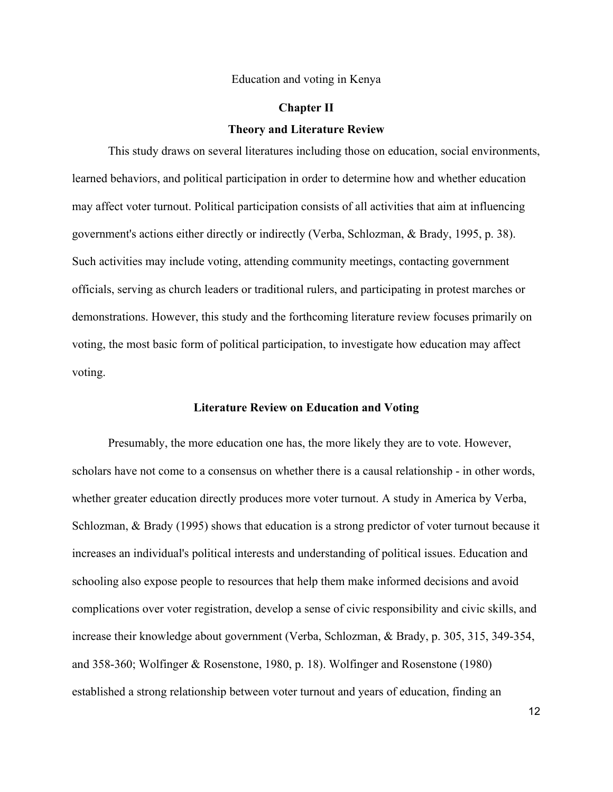## **Chapter II Theory and Literature Review**

This study draws on several literatures including those on education, social environments, learned behaviors, and political participation in order to determine how and whether education may affect voter turnout. Political participation consists of all activities that aim at influencing government's actions either directly or indirectly (Verba, Schlozman, & Brady, 1995, p. 38). Such activities may include voting, attending community meetings, contacting government officials, serving as church leaders or traditional rulers, and participating in protest marches or demonstrations. However, this study and the forthcoming literature review focuses primarily on voting, the most basic form of political participation, to investigate how education may affect voting.

#### **Literature Review on Education and Voting**

Presumably, the more education one has, the more likely they are to vote. However, scholars have not come to a consensus on whether there is a causal relationship - in other words, whether greater education directly produces more voter turnout. A study in America by Verba, Schlozman, & Brady (1995) shows that education is a strong predictor of voter turnout because it increases an individual's political interests and understanding of political issues. Education and schooling also expose people to resources that help them make informed decisions and avoid complications over voter registration, develop a sense of civic responsibility and civic skills, and increase their knowledge about government (Verba, Schlozman, & Brady, p. 305, 315, 349-354, and 358-360; Wolfinger & Rosenstone, 1980, p. 18). Wolfinger and Rosenstone (1980) established a strong relationship between voter turnout and years of education, finding an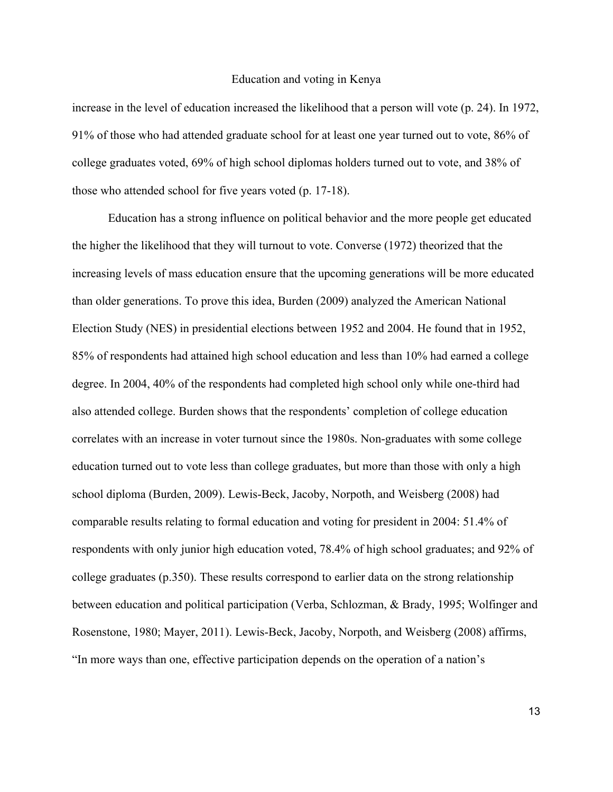increase in the level of education increased the likelihood that a person will vote (p. 24). In 1972, 91% of those who had attended graduate school for at least one year turned out to vote, 86% of college graduates voted, 69% of high school diplomas holders turned out to vote, and 38% of those who attended school for five years voted (p. 17-18).

Education has a strong influence on political behavior and the more people get educated the higher the likelihood that they will turnout to vote. Converse (1972) theorized that the increasing levels of mass education ensure that the upcoming generations will be more educated than older generations. To prove this idea, Burden (2009) analyzed the American National Election Study (NES) in presidential elections between 1952 and 2004. He found that in 1952, 85% of respondents had attained high school education and less than 10% had earned a college degree. In 2004, 40% of the respondents had completed high school only while one-third had also attended college. Burden shows that the respondents' completion of college education correlates with an increase in voter turnout since the 1980s. Non-graduates with some college education turned out to vote less than college graduates, but more than those with only a high school diploma (Burden, 2009). Lewis-Beck, Jacoby, Norpoth, and Weisberg (2008) had comparable results relating to formal education and voting for president in 2004: 51.4% of respondents with only junior high education voted, 78.4% of high school graduates; and 92% of college graduates (p.350). These results correspond to earlier data on the strong relationship between education and political participation (Verba, Schlozman, & Brady, 1995; Wolfinger and Rosenstone, 1980; Mayer, 2011). Lewis-Beck, Jacoby, Norpoth, and Weisberg (2008) affirms, "In more ways than one, effective participation depends on the operation of a nation's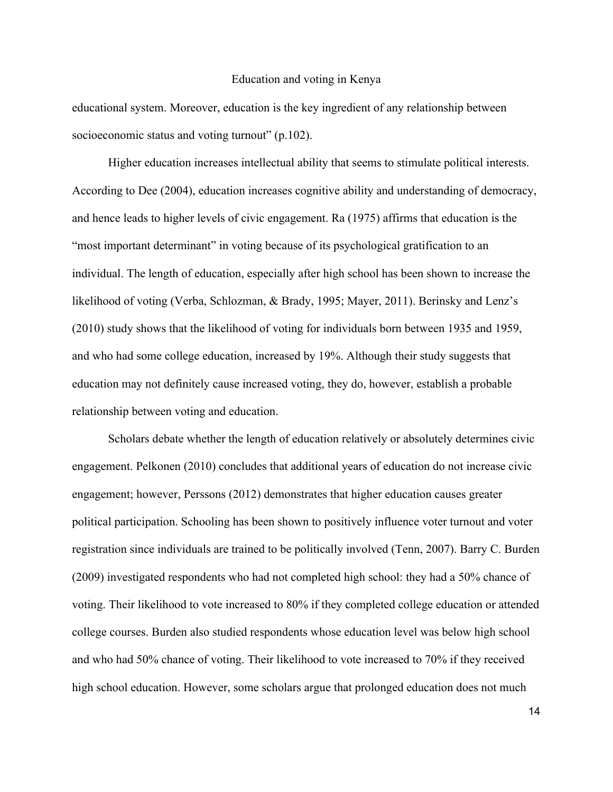educational system. Moreover, education is the key ingredient of any relationship between socioeconomic status and voting turnout" (p.102).

Higher education increases intellectual ability that seems to stimulate political interests. According to Dee (2004), education increases cognitive ability and understanding of democracy, and hence leads to higher levels of civic engagement. Ra (1975) affirms that education is the "most important determinant" in voting because of its psychological gratification to an individual. The length of education, especially after high school has been shown to increase the likelihood of voting (Verba, Schlozman, & Brady, 1995; Mayer, 2011). Berinsky and Lenz's (2010) study shows that the likelihood of voting for individuals born between 1935 and 1959, and who had some college education, increased by 19%. Although their study suggests that education may not definitely cause increased voting, they do, however, establish a probable relationship between voting and education.

Scholars debate whether the length of education relatively or absolutely determines civic engagement. Pelkonen (2010) concludes that additional years of education do not increase civic engagement; however, Perssons (2012) demonstrates that higher education causes greater political participation. Schooling has been shown to positively influence voter turnout and voter registration since individuals are trained to be politically involved (Tenn, 2007). Barry C. Burden (2009) investigated respondents who had not completed high school: they had a 50% chance of voting. Their likelihood to vote increased to 80% if they completed college education or attended college courses. Burden also studied respondents whose education level was below high school and who had 50% chance of voting. Their likelihood to vote increased to 70% if they received high school education. However, some scholars argue that prolonged education does not much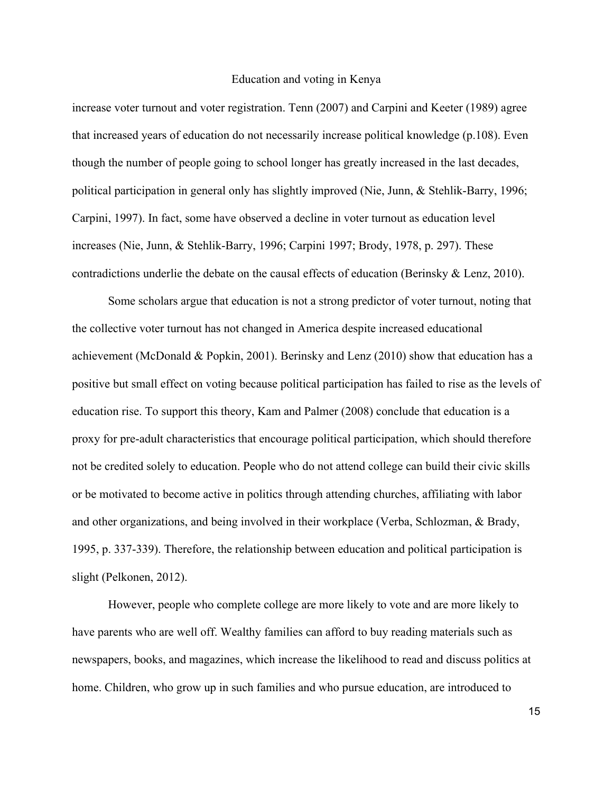increase voter turnout and voter registration. Tenn (2007) and Carpini and Keeter (1989) agree that increased years of education do not necessarily increase political knowledge (p.108). Even though the number of people going to school longer has greatly increased in the last decades, political participation in general only has slightly improved (Nie, Junn, & Stehlik-Barry, 1996; Carpini, 1997). In fact, some have observed a decline in voter turnout as education level increases (Nie, Junn, & Stehlik-Barry, 1996; Carpini 1997; Brody, 1978, p. 297). These contradictions underlie the debate on the causal effects of education (Berinsky & Lenz, 2010).

Some scholars argue that education is not a strong predictor of voter turnout, noting that the collective voter turnout has not changed in America despite increased educational achievement (McDonald & Popkin, 2001). Berinsky and Lenz (2010) show that education has a positive but small effect on voting because political participation has failed to rise as the levels of education rise. To support this theory, Kam and Palmer (2008) conclude that education is a proxy for pre-adult characteristics that encourage political participation, which should therefore not be credited solely to education. People who do not attend college can build their civic skills or be motivated to become active in politics through attending churches, affiliating with labor and other organizations, and being involved in their workplace (Verba, Schlozman, & Brady, 1995, p. 337-339). Therefore, the relationship between education and political participation is slight (Pelkonen, 2012).

However, people who complete college are more likely to vote and are more likely to have parents who are well off. Wealthy families can afford to buy reading materials such as newspapers, books, and magazines, which increase the likelihood to read and discuss politics at home. Children, who grow up in such families and who pursue education, are introduced to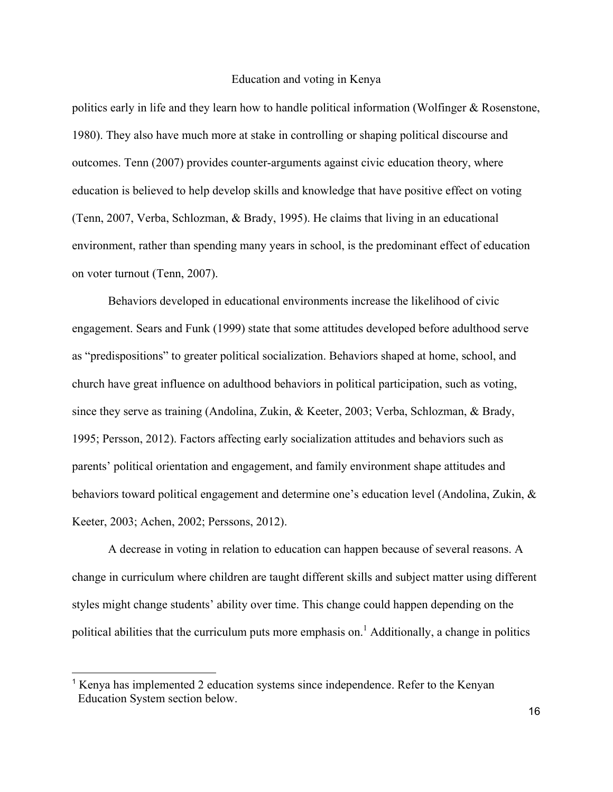politics early in life and they learn how to handle political information (Wolfinger & Rosenstone, 1980). They also have much more at stake in controlling or shaping political discourse and outcomes. Tenn (2007) provides counter-arguments against civic education theory, where education is believed to help develop skills and knowledge that have positive effect on voting (Tenn, 2007, Verba, Schlozman, & Brady, 1995). He claims that living in an educational environment, rather than spending many years in school, is the predominant effect of education on voter turnout (Tenn, 2007).

Behaviors developed in educational environments increase the likelihood of civic engagement. Sears and Funk (1999) state that some attitudes developed before adulthood serve as "predispositions" to greater political socialization. Behaviors shaped at home, school, and church have great influence on adulthood behaviors in political participation, such as voting, since they serve as training (Andolina, Zukin, & Keeter, 2003; Verba, Schlozman, & Brady, 1995; Persson, 2012). Factors affecting early socialization attitudes and behaviors such as parents' political orientation and engagement, and family environment shape attitudes and behaviors toward political engagement and determine one's education level (Andolina, Zukin, & Keeter, 2003; Achen, 2002; Perssons, 2012).

A decrease in voting in relation to education can happen because of several reasons. A change in curriculum where children are taught different skills and subject matter using different styles might change students' ability over time. This change could happen depending on the political abilities that the curriculum puts more emphasis on.<sup>1</sup> Additionally, a change in politics

<sup>&</sup>lt;sup>1</sup> Kenya has implemented 2 education systems since independence. Refer to the Kenyan Education System section below.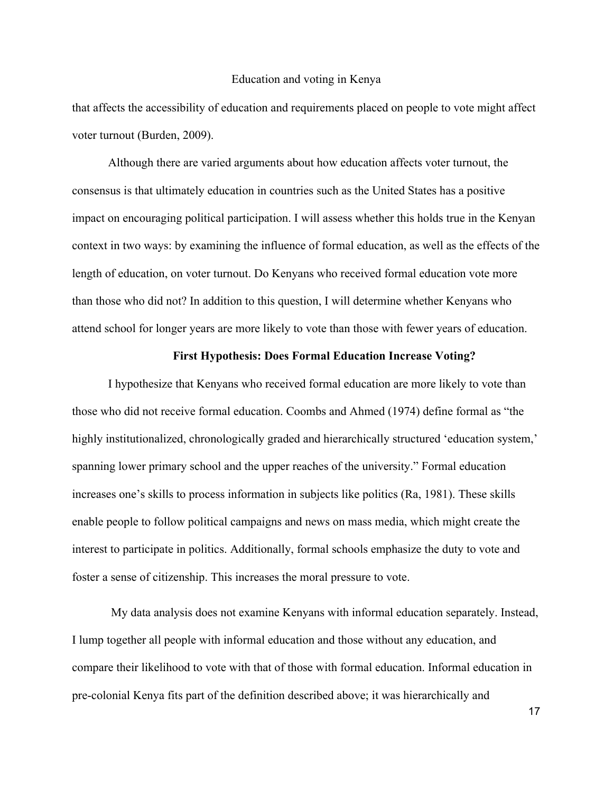that affects the accessibility of education and requirements placed on people to vote might affect voter turnout (Burden, 2009).

Although there are varied arguments about how education affects voter turnout, the consensus is that ultimately education in countries such as the United States has a positive impact on encouraging political participation. I will assess whether this holds true in the Kenyan context in two ways: by examining the influence of formal education, as well as the effects of the length of education, on voter turnout. Do Kenyans who received formal education vote more than those who did not? In addition to this question, I will determine whether Kenyans who attend school for longer years are more likely to vote than those with fewer years of education.

#### **First Hypothesis: Does Formal Education Increase Voting?**

I hypothesize that Kenyans who received formal education are more likely to vote than those who did not receive formal education. Coombs and Ahmed (1974) define formal as "the highly institutionalized, chronologically graded and hierarchically structured 'education system,' spanning lower primary school and the upper reaches of the university." Formal education increases one's skills to process information in subjects like politics (Ra, 1981). These skills enable people to follow political campaigns and news on mass media, which might create the interest to participate in politics. Additionally, formal schools emphasize the duty to vote and foster a sense of citizenship. This increases the moral pressure to vote.

My data analysis does not examine Kenyans with informal education separately. Instead, I lump together all people with informal education and those without any education, and compare their likelihood to vote with that of those with formal education. Informal education in pre-colonial Kenya fits part of the definition described above; it was hierarchically and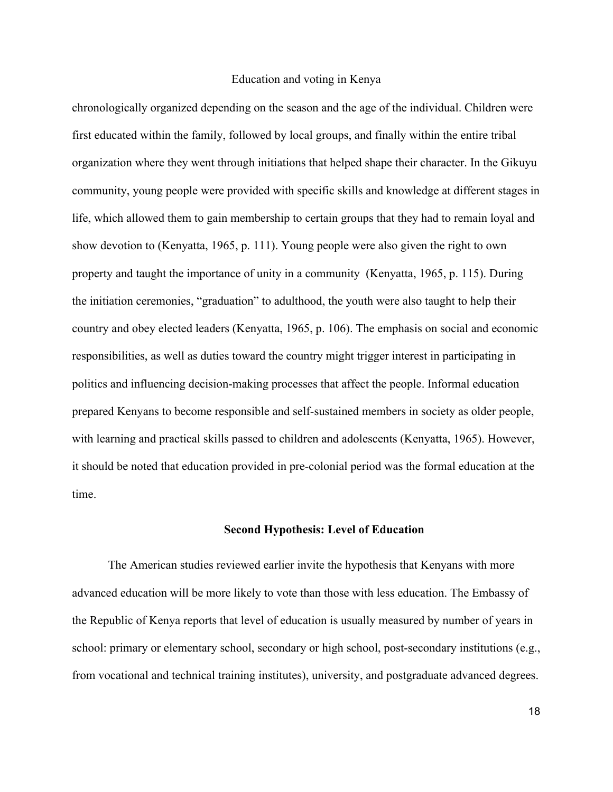chronologically organized depending on the season and the age of the individual. Children were first educated within the family, followed by local groups, and finally within the entire tribal organization where they went through initiations that helped shape their character. In the Gikuyu community, young people were provided with specific skills and knowledge at different stages in life, which allowed them to gain membership to certain groups that they had to remain loyal and show devotion to (Kenyatta, 1965, p. 111). Young people were also given the right to own property and taught the importance of unity in a community (Kenyatta, 1965, p. 115). During the initiation ceremonies, "graduation" to adulthood, the youth were also taught to help their country and obey elected leaders (Kenyatta, 1965, p. 106). The emphasis on social and economic responsibilities, as well as duties toward the country might trigger interest in participating in politics and influencing decision-making processes that affect the people. Informal education prepared Kenyans to become responsible and self-sustained members in society as older people, with learning and practical skills passed to children and adolescents (Kenyatta, 1965). However, it should be noted that education provided in pre-colonial period was the formal education at the time.

#### **Second Hypothesis: Level of Education**

The American studies reviewed earlier invite the hypothesis that Kenyans with more advanced education will be more likely to vote than those with less education. The Embassy of the Republic of Kenya reports that level of education is usually measured by number of years in school: primary or elementary school, secondary or high school, post-secondary institutions (e.g., from vocational and technical training institutes), university, and postgraduate advanced degrees.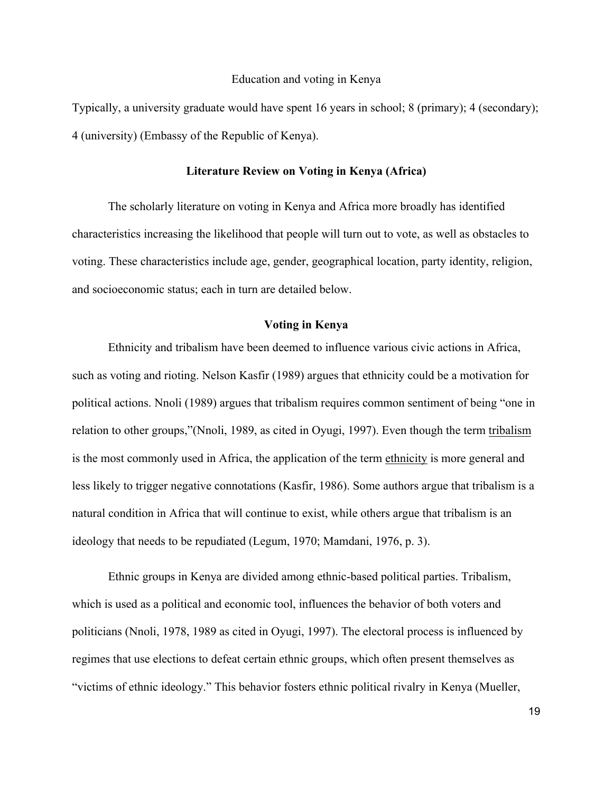Typically, a university graduate would have spent 16 years in school; 8 (primary); 4 (secondary); 4 (university) (Embassy of the Republic of Kenya).

#### **Literature Review on Voting in Kenya (Africa)**

The scholarly literature on voting in Kenya and Africa more broadly has identified characteristics increasing the likelihood that people will turn out to vote, as well as obstacles to voting. These characteristics include age, gender, geographical location, party identity, religion, and socioeconomic status; each in turn are detailed below.

#### **Voting in Kenya**

Ethnicity and tribalism have been deemed to influence various civic actions in Africa, such as voting and rioting. Nelson Kasfir (1989) argues that ethnicity could be a motivation for political actions. Nnoli (1989) argues that tribalism requires common sentiment of being "one in relation to other groups,"(Nnoli, 1989, as cited in Oyugi, 1997). Even though the term tribalism is the most commonly used in Africa, the application of the term ethnicity is more general and less likely to trigger negative connotations (Kasfir, 1986). Some authors argue that tribalism is a natural condition in Africa that will continue to exist, while others argue that tribalism is an ideology that needs to be repudiated (Legum, 1970; Mamdani, 1976, p. 3).

Ethnic groups in Kenya are divided among ethnic-based political parties. Tribalism, which is used as a political and economic tool, influences the behavior of both voters and politicians (Nnoli, 1978, 1989 as cited in Oyugi, 1997). The electoral process is influenced by regimes that use elections to defeat certain ethnic groups, which often present themselves as "victims of ethnic ideology." This behavior fosters ethnic political rivalry in Kenya (Mueller,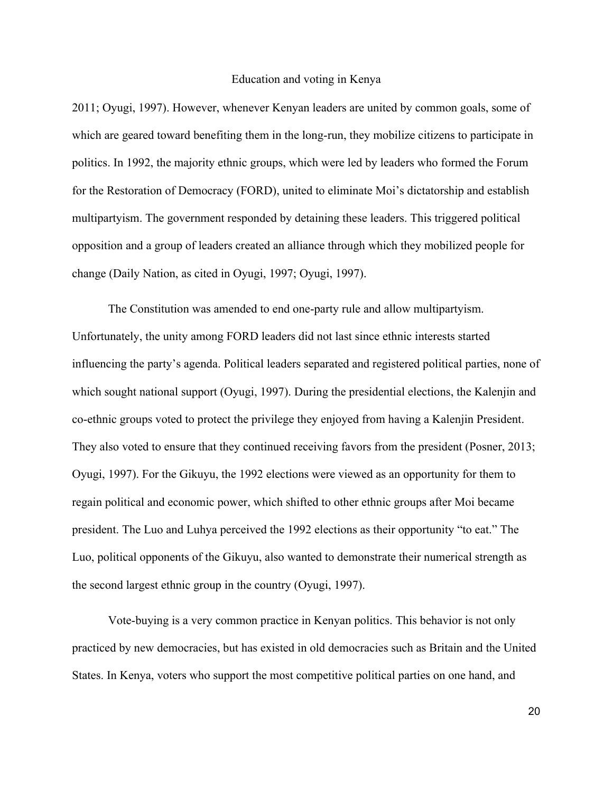2011; Oyugi, 1997). However, whenever Kenyan leaders are united by common goals, some of which are geared toward benefiting them in the long-run, they mobilize citizens to participate in politics. In 1992, the majority ethnic groups, which were led by leaders who formed the Forum for the Restoration of Democracy (FORD), united to eliminate Moi's dictatorship and establish multipartyism. The government responded by detaining these leaders. This triggered political opposition and a group of leaders created an alliance through which they mobilized people for change (Daily Nation, as cited in Oyugi, 1997; Oyugi, 1997).

The Constitution was amended to end one-party rule and allow multipartyism. Unfortunately, the unity among FORD leaders did not last since ethnic interests started influencing the party's agenda. Political leaders separated and registered political parties, none of which sought national support (Oyugi, 1997). During the presidential elections, the Kalenjin and co-ethnic groups voted to protect the privilege they enjoyed from having a Kalenjin President. They also voted to ensure that they continued receiving favors from the president (Posner, 2013; Oyugi, 1997). For the Gikuyu, the 1992 elections were viewed as an opportunity for them to regain political and economic power, which shifted to other ethnic groups after Moi became president. The Luo and Luhya perceived the 1992 elections as their opportunity "to eat." The Luo, political opponents of the Gikuyu, also wanted to demonstrate their numerical strength as the second largest ethnic group in the country (Oyugi, 1997).

Vote-buying is a very common practice in Kenyan politics. This behavior is not only practiced by new democracies, but has existed in old democracies such as Britain and the United States. In Kenya, voters who support the most competitive political parties on one hand, and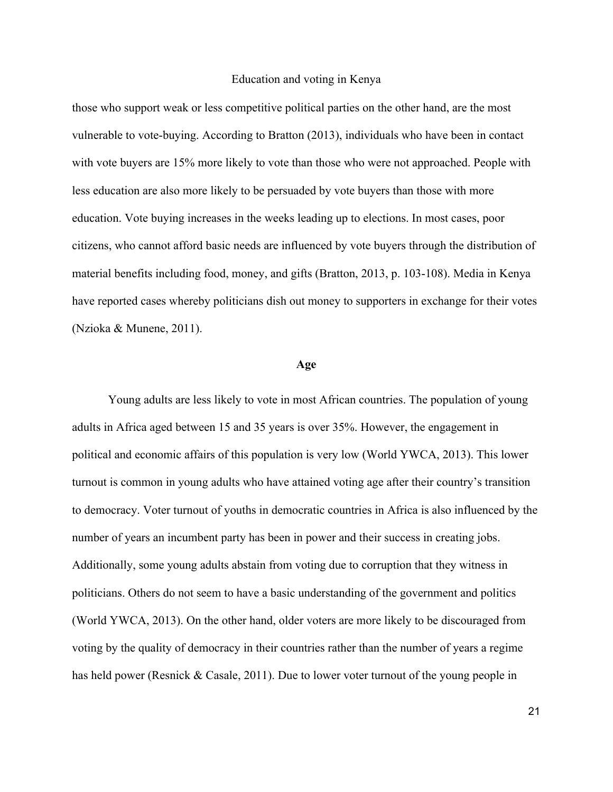those who support weak or less competitive political parties on the other hand, are the most vulnerable to vote-buying. According to Bratton (2013), individuals who have been in contact with vote buyers are 15% more likely to vote than those who were not approached. People with less education are also more likely to be persuaded by vote buyers than those with more education. Vote buying increases in the weeks leading up to elections. In most cases, poor citizens, who cannot afford basic needs are influenced by vote buyers through the distribution of material benefits including food, money, and gifts (Bratton, 2013, p. 103-108). Media in Kenya have reported cases whereby politicians dish out money to supporters in exchange for their votes (Nzioka & Munene, 2011).

#### **Age**

Young adults are less likely to vote in most African countries. The population of young adults in Africa aged between 15 and 35 years is over 35%. However, the engagement in political and economic affairs of this population is very low (World YWCA, 2013). This lower turnout is common in young adults who have attained voting age after their country's transition to democracy. Voter turnout of youths in democratic countries in Africa is also influenced by the number of years an incumbent party has been in power and their success in creating jobs. Additionally, some young adults abstain from voting due to corruption that they witness in politicians. Others do not seem to have a basic understanding of the government and politics (World YWCA, 2013). On the other hand, older voters are more likely to be discouraged from voting by the quality of democracy in their countries rather than the number of years a regime has held power (Resnick & Casale, 2011). Due to lower voter turnout of the young people in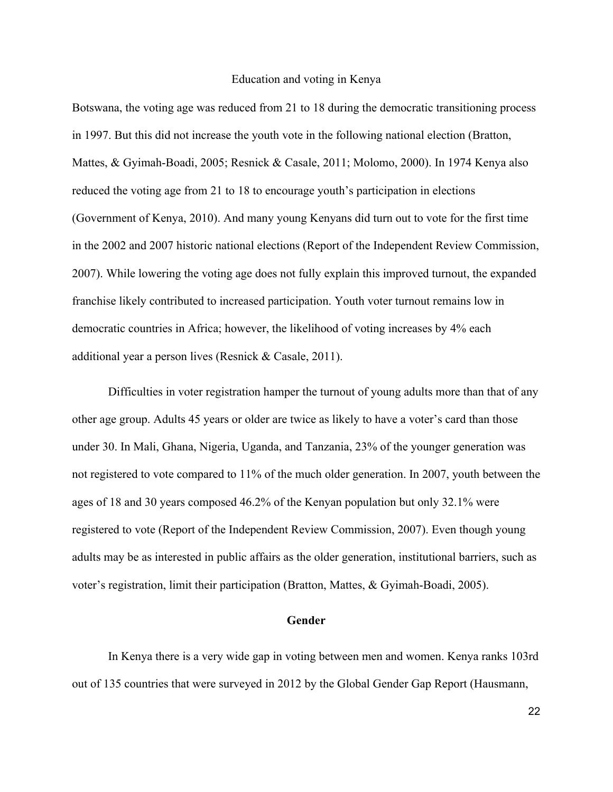Botswana, the voting age was reduced from 21 to 18 during the democratic transitioning process in 1997. But this did not increase the youth vote in the following national election (Bratton, Mattes, & Gyimah-Boadi, 2005; Resnick & Casale, 2011; Molomo, 2000). In 1974 Kenya also reduced the voting age from 21 to 18 to encourage youth's participation in elections (Government of Kenya, 2010). And many young Kenyans did turn out to vote for the first time in the 2002 and 2007 historic national elections (Report of the Independent Review Commission, 2007). While lowering the voting age does not fully explain this improved turnout, the expanded franchise likely contributed to increased participation. Youth voter turnout remains low in democratic countries in Africa; however, the likelihood of voting increases by 4% each additional year a person lives (Resnick & Casale, 2011).

Difficulties in voter registration hamper the turnout of young adults more than that of any other age group. Adults 45 years or older are twice as likely to have a voter's card than those under 30. In Mali, Ghana, Nigeria, Uganda, and Tanzania, 23% of the younger generation was not registered to vote compared to 11% of the much older generation. In 2007, youth between the ages of 18 and 30 years composed 46.2% of the Kenyan population but only 32.1% were registered to vote (Report of the Independent Review Commission, 2007). Even though young adults may be as interested in public affairs as the older generation, institutional barriers, such as voter's registration, limit their participation (Bratton, Mattes, & Gyimah-Boadi, 2005).

#### **Gender**

In Kenya there is a very wide gap in voting between men and women. Kenya ranks 103rd out of 135 countries that were surveyed in 2012 by the Global Gender Gap Report (Hausmann,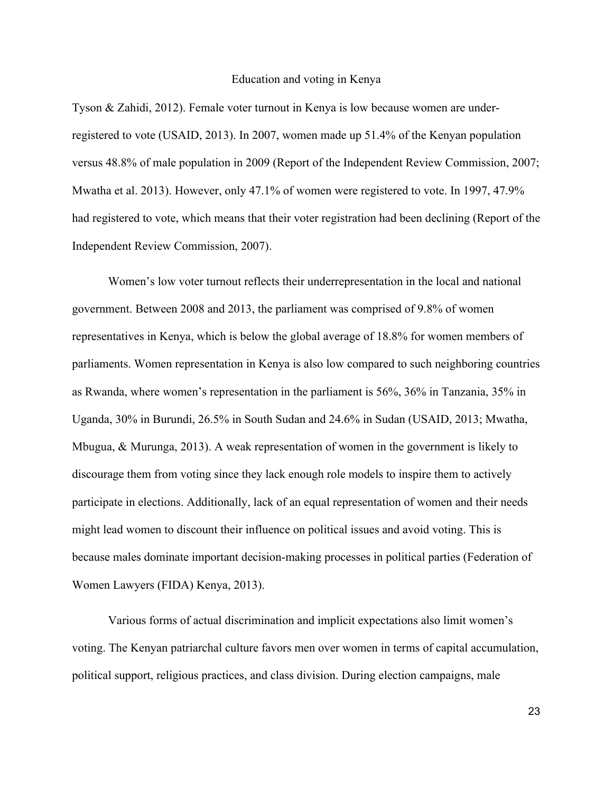Tyson & Zahidi, 2012). Female voter turnout in Kenya is low because women are underregistered to vote (USAID, 2013). In 2007, women made up 51.4% of the Kenyan population versus 48.8% of male population in 2009 (Report of the Independent Review Commission, 2007; Mwatha et al. 2013). However, only 47.1% of women were registered to vote. In 1997, 47.9% had registered to vote, which means that their voter registration had been declining (Report of the Independent Review Commission, 2007).

Women's low voter turnout reflects their underrepresentation in the local and national government. Between 2008 and 2013, the parliament was comprised of 9.8% of women representatives in Kenya, which is below the global average of 18.8% for women members of parliaments. Women representation in Kenya is also low compared to such neighboring countries as Rwanda, where women's representation in the parliament is 56%, 36% in Tanzania, 35% in Uganda, 30% in Burundi, 26.5% in South Sudan and 24.6% in Sudan (USAID, 2013; Mwatha, Mbugua, & Murunga, 2013). A weak representation of women in the government is likely to discourage them from voting since they lack enough role models to inspire them to actively participate in elections. Additionally, lack of an equal representation of women and their needs might lead women to discount their influence on political issues and avoid voting. This is because males dominate important decision-making processes in political parties (Federation of Women Lawyers (FIDA) Kenya, 2013).

Various forms of actual discrimination and implicit expectations also limit women's voting. The Kenyan patriarchal culture favors men over women in terms of capital accumulation, political support, religious practices, and class division. During election campaigns, male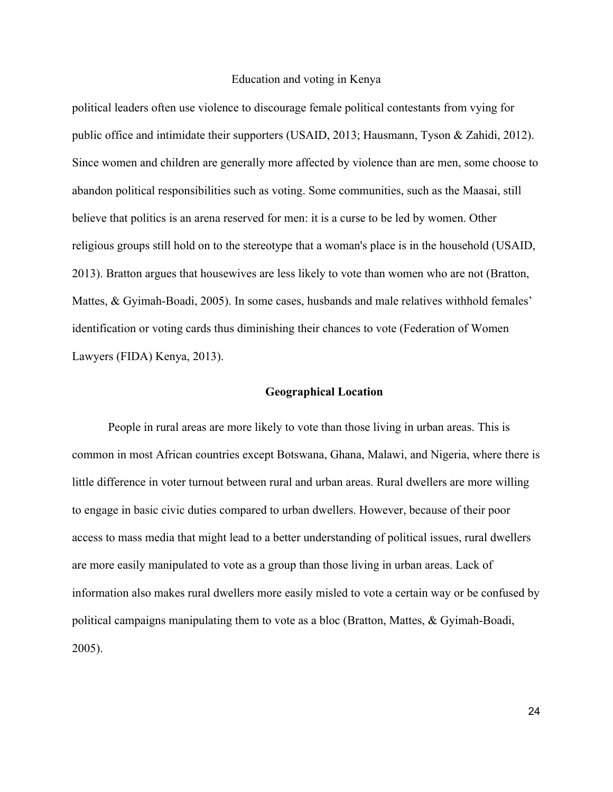political leaders often use violence to discourage female political contestants from vying for public office and intimidate their supporters (USAID, 2013; Hausmann, Tyson & Zahidi, 2012). Since women and children are generally more affected by violence than are men, some choose to abandon political responsibilities such as voting. Some communities, such as the Maasai, still believe that politics is an arena reserved for men: it is a curse to be led by women. Other religious groups still hold on to the stereotype that a woman's place is in the household (USAID, 2013). Bratton argues that housewives are less likely to vote than women who are not (Bratton, Mattes, & Gyimah-Boadi, 2005). In some cases, husbands and male relatives withhold females' identification or voting cards thus diminishing their chances to vote (Federation of Women Lawyers (FIDA) Kenya, 2013).

#### **Geographical Location**

People in rural areas are more likely to vote than those living in urban areas. This is common in most African countries except Botswana, Ghana, Malawi, and Nigeria, where there is little difference in voter turnout between rural and urban areas. Rural dwellers are more willing to engage in basic civic duties compared to urban dwellers. However, because of their poor access to mass media that might lead to a better understanding of political issues, rural dwellers are more easily manipulated to vote as a group than those living in urban areas. Lack of information also makes rural dwellers more easily misled to vote a certain way or be confused by political campaigns manipulating them to vote as a bloc (Bratton, Mattes, & Gyimah-Boadi, 2005).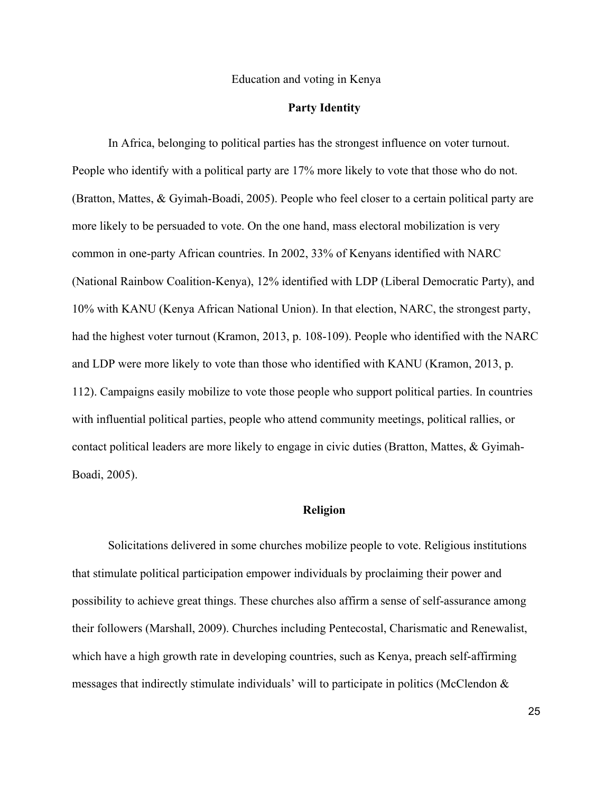#### **Party Identity**

In Africa, belonging to political parties has the strongest influence on voter turnout. People who identify with a political party are 17% more likely to vote that those who do not. (Bratton, Mattes, & Gyimah-Boadi, 2005). People who feel closer to a certain political party are more likely to be persuaded to vote. On the one hand, mass electoral mobilization is very common in one-party African countries. In 2002, 33% of Kenyans identified with NARC (National Rainbow Coalition-Kenya), 12% identified with LDP (Liberal Democratic Party), and 10% with KANU (Kenya African National Union). In that election, NARC, the strongest party, had the highest voter turnout (Kramon, 2013, p. 108-109). People who identified with the NARC and LDP were more likely to vote than those who identified with KANU (Kramon, 2013, p. 112). Campaigns easily mobilize to vote those people who support political parties. In countries with influential political parties, people who attend community meetings, political rallies, or contact political leaders are more likely to engage in civic duties (Bratton, Mattes, & Gyimah-Boadi, 2005).

#### **Religion**

Solicitations delivered in some churches mobilize people to vote. Religious institutions that stimulate political participation empower individuals by proclaiming their power and possibility to achieve great things. These churches also affirm a sense of self-assurance among their followers (Marshall, 2009). Churches including Pentecostal, Charismatic and Renewalist, which have a high growth rate in developing countries, such as Kenya, preach self-affirming messages that indirectly stimulate individuals' will to participate in politics (McClendon  $\&$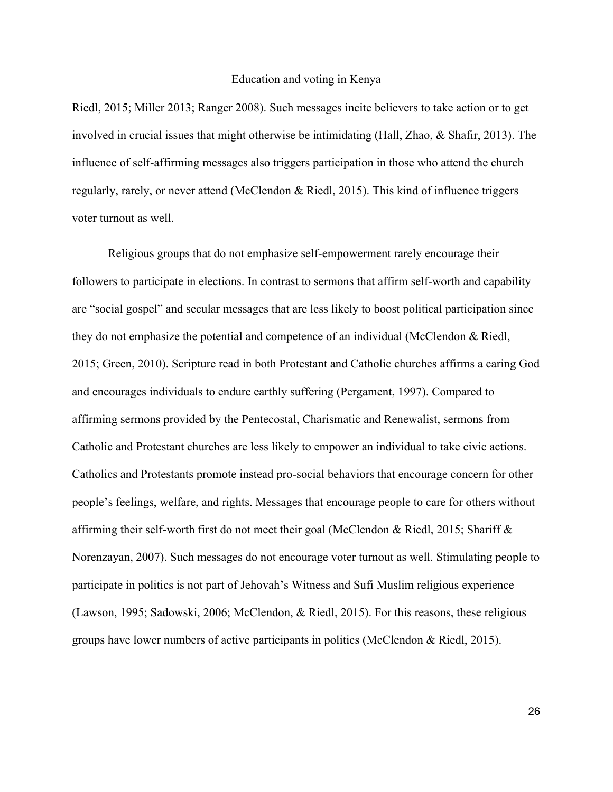Riedl, 2015; Miller 2013; Ranger 2008). Such messages incite believers to take action or to get involved in crucial issues that might otherwise be intimidating (Hall, Zhao, & Shafir, 2013). The influence of self-affirming messages also triggers participation in those who attend the church regularly, rarely, or never attend (McClendon & Riedl, 2015). This kind of influence triggers voter turnout as well.

Religious groups that do not emphasize self-empowerment rarely encourage their followers to participate in elections. In contrast to sermons that affirm self-worth and capability are "social gospel" and secular messages that are less likely to boost political participation since they do not emphasize the potential and competence of an individual (McClendon & Riedl, 2015; Green, 2010). Scripture read in both Protestant and Catholic churches affirms a caring God and encourages individuals to endure earthly suffering (Pergament, 1997). Compared to affirming sermons provided by the Pentecostal, Charismatic and Renewalist, sermons from Catholic and Protestant churches are less likely to empower an individual to take civic actions. Catholics and Protestants promote instead pro-social behaviors that encourage concern for other people's feelings, welfare, and rights. Messages that encourage people to care for others without affirming their self-worth first do not meet their goal (McClendon & Riedl, 2015; Shariff & Norenzayan, 2007). Such messages do not encourage voter turnout as well. Stimulating people to participate in politics is not part of Jehovah's Witness and Sufi Muslim religious experience (Lawson, 1995; Sadowski, 2006; McClendon, & Riedl, 2015). For this reasons, these religious groups have lower numbers of active participants in politics (McClendon & Riedl, 2015).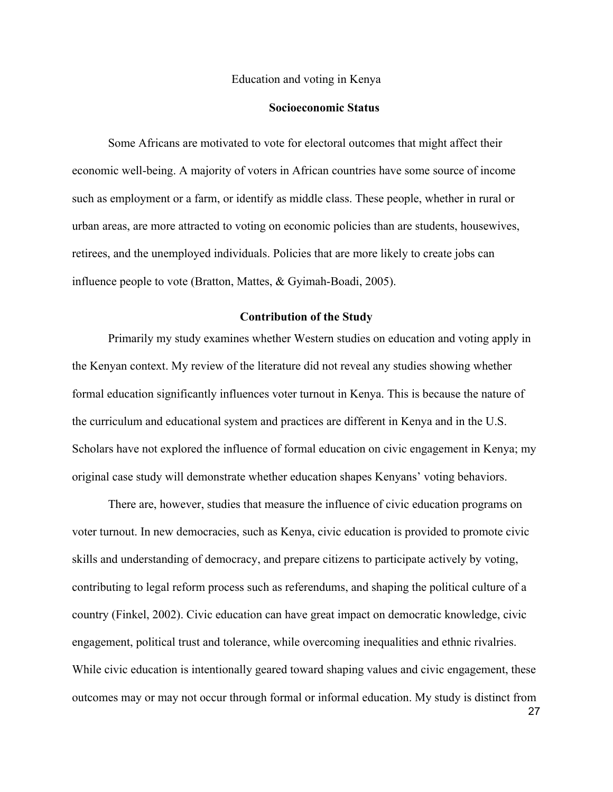#### **Socioeconomic Status**

Some Africans are motivated to vote for electoral outcomes that might affect their economic well-being. A majority of voters in African countries have some source of income such as employment or a farm, or identify as middle class. These people, whether in rural or urban areas, are more attracted to voting on economic policies than are students, housewives, retirees, and the unemployed individuals. Policies that are more likely to create jobs can influence people to vote (Bratton, Mattes, & Gyimah-Boadi, 2005).

#### **Contribution of the Study**

Primarily my study examines whether Western studies on education and voting apply in the Kenyan context. My review of the literature did not reveal any studies showing whether formal education significantly influences voter turnout in Kenya. This is because the nature of the curriculum and educational system and practices are different in Kenya and in the U.S. Scholars have not explored the influence of formal education on civic engagement in Kenya; my original case study will demonstrate whether education shapes Kenyans' voting behaviors.

There are, however, studies that measure the influence of civic education programs on voter turnout. In new democracies, such as Kenya, civic education is provided to promote civic skills and understanding of democracy, and prepare citizens to participate actively by voting, contributing to legal reform process such as referendums, and shaping the political culture of a country (Finkel, 2002). Civic education can have great impact on democratic knowledge, civic engagement, political trust and tolerance, while overcoming inequalities and ethnic rivalries. While civic education is intentionally geared toward shaping values and civic engagement, these outcomes may or may not occur through formal or informal education. My study is distinct from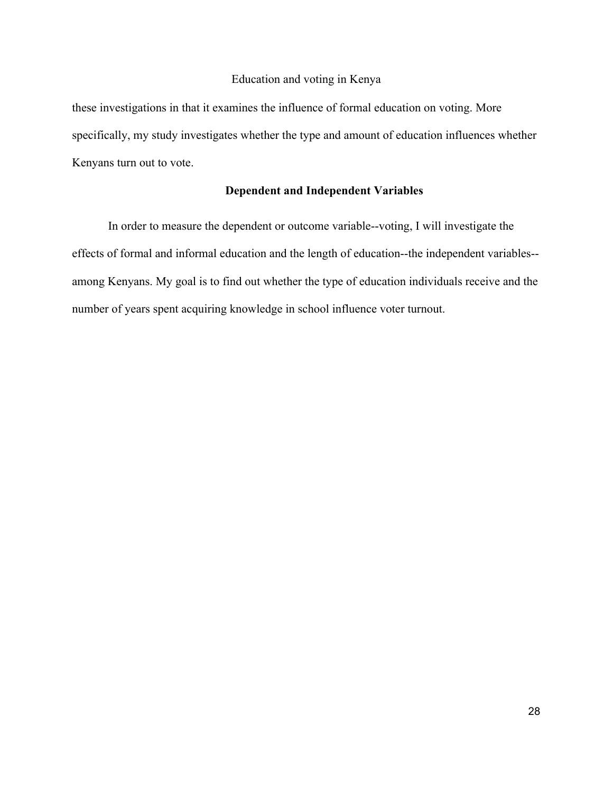these investigations in that it examines the influence of formal education on voting. More specifically, my study investigates whether the type and amount of education influences whether Kenyans turn out to vote.

## **Dependent and Independent Variables**

In order to measure the dependent or outcome variable--voting, I will investigate the effects of formal and informal education and the length of education--the independent variables- among Kenyans. My goal is to find out whether the type of education individuals receive and the number of years spent acquiring knowledge in school influence voter turnout.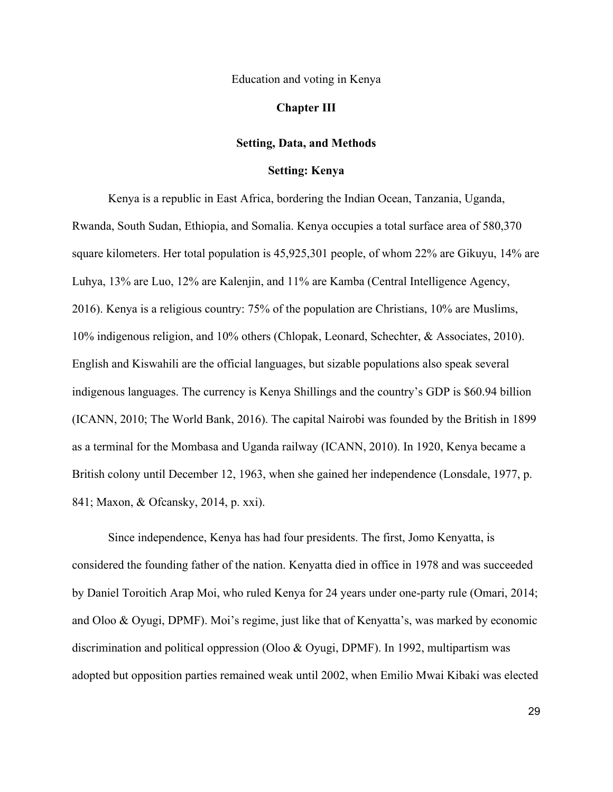#### **Chapter III**

#### **Setting, Data, and Methods**

#### **Setting: Kenya**

Kenya is a republic in East Africa, bordering the Indian Ocean, Tanzania, Uganda, Rwanda, South Sudan, Ethiopia, and Somalia. Kenya occupies a total surface area of 580,370 square kilometers. Her total population is 45,925,301 people, of whom 22% are Gikuyu, 14% are Luhya, 13% are Luo, 12% are Kalenjin, and 11% are Kamba (Central Intelligence Agency, 2016). Kenya is a religious country: 75% of the population are Christians, 10% are Muslims, 10% indigenous religion, and 10% others (Chlopak, Leonard, Schechter, & Associates, 2010). English and Kiswahili are the official languages, but sizable populations also speak several indigenous languages. The currency is Kenya Shillings and the country's GDP is \$60.94 billion (ICANN, 2010; The World Bank, 2016). The capital Nairobi was founded by the British in 1899 as a terminal for the Mombasa and Uganda railway (ICANN, 2010). In 1920, Kenya became a British colony until December 12, 1963, when she gained her independence (Lonsdale, 1977, p. 841; Maxon, & Ofcansky, 2014, p. xxi).

Since independence, Kenya has had four presidents. The first, Jomo Kenyatta, is considered the founding father of the nation. Kenyatta died in office in 1978 and was succeeded by Daniel Toroitich Arap Moi, who ruled Kenya for 24 years under one-party rule (Omari, 2014; and Oloo & Oyugi, DPMF). Moi's regime, just like that of Kenyatta's, was marked by economic discrimination and political oppression (Oloo & Oyugi, DPMF). In 1992, multipartism was adopted but opposition parties remained weak until 2002, when Emilio Mwai Kibaki was elected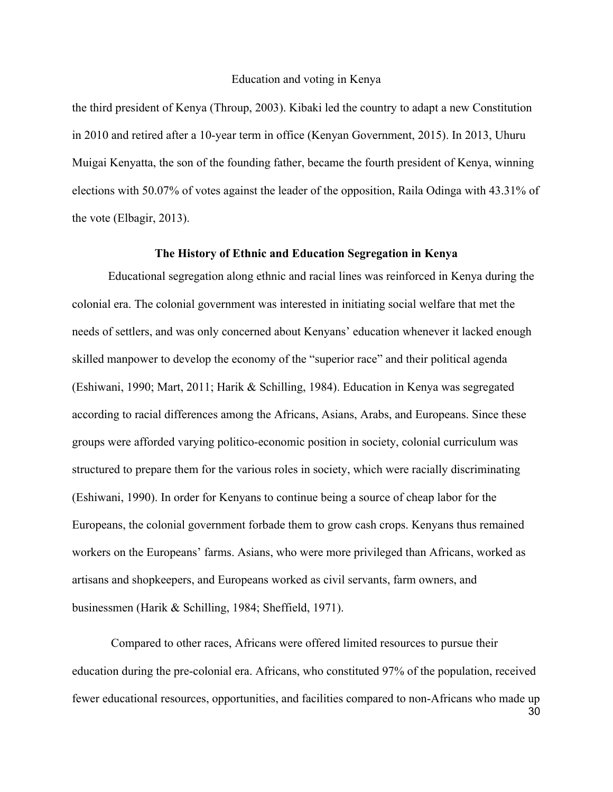the third president of Kenya (Throup, 2003). Kibaki led the country to adapt a new Constitution in 2010 and retired after a 10-year term in office (Kenyan Government, 2015). In 2013, Uhuru Muigai Kenyatta, the son of the founding father, became the fourth president of Kenya, winning elections with 50.07% of votes against the leader of the opposition, Raila Odinga with 43.31% of the vote (Elbagir, 2013).

#### **The History of Ethnic and Education Segregation in Kenya**

Educational segregation along ethnic and racial lines was reinforced in Kenya during the colonial era. The colonial government was interested in initiating social welfare that met the needs of settlers, and was only concerned about Kenyans' education whenever it lacked enough skilled manpower to develop the economy of the "superior race" and their political agenda (Eshiwani, 1990; Mart, 2011; Harik & Schilling, 1984). Education in Kenya was segregated according to racial differences among the Africans, Asians, Arabs, and Europeans. Since these groups were afforded varying politico-economic position in society, colonial curriculum was structured to prepare them for the various roles in society, which were racially discriminating (Eshiwani, 1990). In order for Kenyans to continue being a source of cheap labor for the Europeans, the colonial government forbade them to grow cash crops. Kenyans thus remained workers on the Europeans' farms. Asians, who were more privileged than Africans, worked as artisans and shopkeepers, and Europeans worked as civil servants, farm owners, and businessmen (Harik & Schilling, 1984; Sheffield, 1971).

Compared to other races, Africans were offered limited resources to pursue their education during the pre-colonial era. Africans, who constituted 97% of the population, received fewer educational resources, opportunities, and facilities compared to non-Africans who made up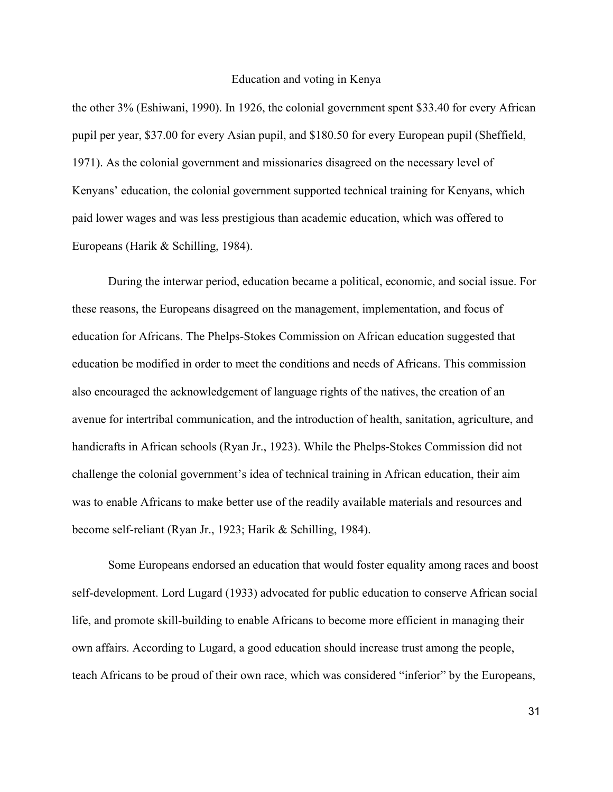the other 3% (Eshiwani, 1990). In 1926, the colonial government spent \$33.40 for every African pupil per year, \$37.00 for every Asian pupil, and \$180.50 for every European pupil (Sheffield, 1971). As the colonial government and missionaries disagreed on the necessary level of Kenyans' education, the colonial government supported technical training for Kenyans, which paid lower wages and was less prestigious than academic education, which was offered to Europeans (Harik & Schilling, 1984).

During the interwar period, education became a political, economic, and social issue. For these reasons, the Europeans disagreed on the management, implementation, and focus of education for Africans. The Phelps-Stokes Commission on African education suggested that education be modified in order to meet the conditions and needs of Africans. This commission also encouraged the acknowledgement of language rights of the natives, the creation of an avenue for intertribal communication, and the introduction of health, sanitation, agriculture, and handicrafts in African schools (Ryan Jr., 1923). While the Phelps-Stokes Commission did not challenge the colonial government's idea of technical training in African education, their aim was to enable Africans to make better use of the readily available materials and resources and become self-reliant (Ryan Jr., 1923; Harik & Schilling, 1984).

Some Europeans endorsed an education that would foster equality among races and boost self-development. Lord Lugard (1933) advocated for public education to conserve African social life, and promote skill-building to enable Africans to become more efficient in managing their own affairs. According to Lugard, a good education should increase trust among the people, teach Africans to be proud of their own race, which was considered "inferior" by the Europeans,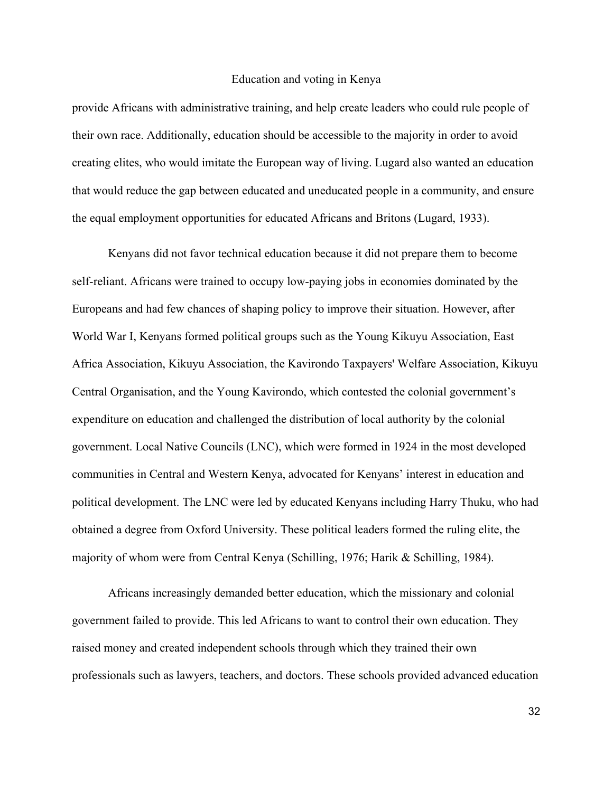provide Africans with administrative training, and help create leaders who could rule people of their own race. Additionally, education should be accessible to the majority in order to avoid creating elites, who would imitate the European way of living. Lugard also wanted an education that would reduce the gap between educated and uneducated people in a community, and ensure the equal employment opportunities for educated Africans and Britons (Lugard, 1933).

Kenyans did not favor technical education because it did not prepare them to become self-reliant. Africans were trained to occupy low-paying jobs in economies dominated by the Europeans and had few chances of shaping policy to improve their situation. However, after World War I, Kenyans formed political groups such as the Young Kikuyu Association, East Africa Association, Kikuyu Association, the Kavirondo Taxpayers' Welfare Association, Kikuyu Central Organisation, and the Young Kavirondo, which contested the colonial government's expenditure on education and challenged the distribution of local authority by the colonial government. Local Native Councils (LNC), which were formed in 1924 in the most developed communities in Central and Western Kenya, advocated for Kenyans' interest in education and political development. The LNC were led by educated Kenyans including Harry Thuku, who had obtained a degree from Oxford University. These political leaders formed the ruling elite, the majority of whom were from Central Kenya (Schilling, 1976; Harik & Schilling, 1984).

Africans increasingly demanded better education, which the missionary and colonial government failed to provide. This led Africans to want to control their own education. They raised money and created independent schools through which they trained their own professionals such as lawyers, teachers, and doctors. These schools provided advanced education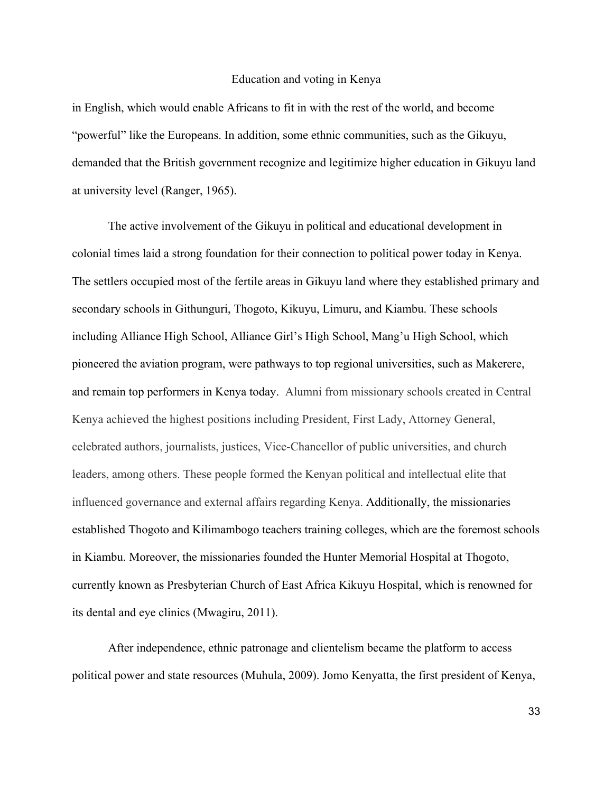in English, which would enable Africans to fit in with the rest of the world, and become "powerful" like the Europeans. In addition, some ethnic communities, such as the Gikuyu, demanded that the British government recognize and legitimize higher education in Gikuyu land at university level (Ranger, 1965).

The active involvement of the Gikuyu in political and educational development in colonial times laid a strong foundation for their connection to political power today in Kenya. The settlers occupied most of the fertile areas in Gikuyu land where they established primary and secondary schools in Githunguri, Thogoto, Kikuyu, Limuru, and Kiambu. These schools including Alliance High School, Alliance Girl's High School, Mang'u High School, which pioneered the aviation program, were pathways to top regional universities, such as Makerere, and remain top performers in Kenya today. Alumni from missionary schools created in Central Kenya achieved the highest positions including President, First Lady, Attorney General, celebrated authors, journalists, justices, Vice-Chancellor of public universities, and church leaders, among others. These people formed the Kenyan political and intellectual elite that influenced governance and external affairs regarding Kenya. Additionally, the missionaries established Thogoto and Kilimambogo teachers training colleges, which are the foremost schools in Kiambu. Moreover, the missionaries founded the Hunter Memorial Hospital at Thogoto, currently known as Presbyterian Church of East Africa Kikuyu Hospital, which is renowned for its dental and eye clinics (Mwagiru, 2011).

After independence, ethnic patronage and clientelism became the platform to access political power and state resources (Muhula, 2009). Jomo Kenyatta, the first president of Kenya,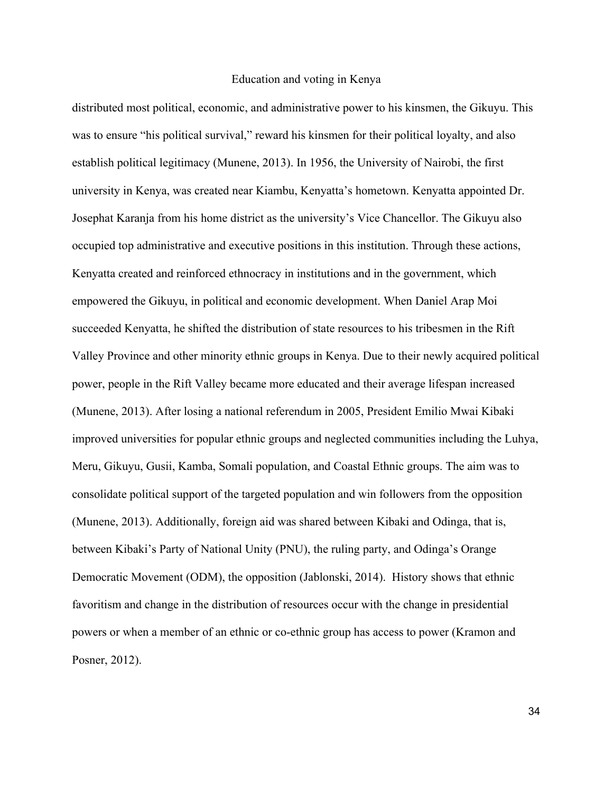distributed most political, economic, and administrative power to his kinsmen, the Gikuyu. This was to ensure "his political survival," reward his kinsmen for their political loyalty, and also establish political legitimacy (Munene, 2013). In 1956, the University of Nairobi, the first university in Kenya, was created near Kiambu, Kenyatta's hometown. Kenyatta appointed Dr. Josephat Karanja from his home district as the university's Vice Chancellor. The Gikuyu also occupied top administrative and executive positions in this institution. Through these actions, Kenyatta created and reinforced ethnocracy in institutions and in the government, which empowered the Gikuyu, in political and economic development. When Daniel Arap Moi succeeded Kenyatta, he shifted the distribution of state resources to his tribesmen in the Rift Valley Province and other minority ethnic groups in Kenya. Due to their newly acquired political power, people in the Rift Valley became more educated and their average lifespan increased (Munene, 2013). After losing a national referendum in 2005, President Emilio Mwai Kibaki improved universities for popular ethnic groups and neglected communities including the Luhya, Meru, Gikuyu, Gusii, Kamba, Somali population, and Coastal Ethnic groups. The aim was to consolidate political support of the targeted population and win followers from the opposition (Munene, 2013). Additionally, foreign aid was shared between Kibaki and Odinga, that is, between Kibaki's Party of National Unity (PNU), the ruling party, and Odinga's Orange Democratic Movement (ODM), the opposition (Jablonski, 2014). History shows that ethnic favoritism and change in the distribution of resources occur with the change in presidential powers or when a member of an ethnic or co-ethnic group has access to power (Kramon and Posner, 2012).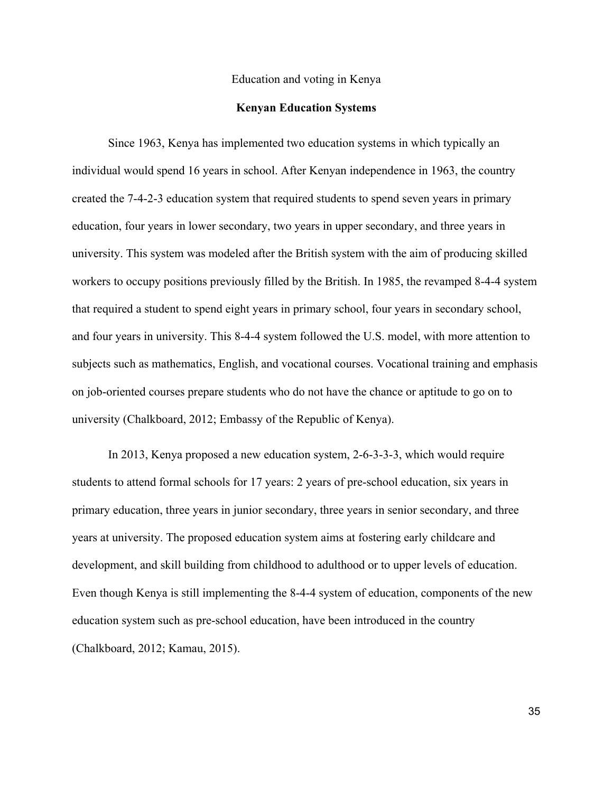#### **Kenyan Education Systems**

Since 1963, Kenya has implemented two education systems in which typically an individual would spend 16 years in school. After Kenyan independence in 1963, the country created the 7-4-2-3 education system that required students to spend seven years in primary education, four years in lower secondary, two years in upper secondary, and three years in university. This system was modeled after the British system with the aim of producing skilled workers to occupy positions previously filled by the British. In 1985, the revamped 8-4-4 system that required a student to spend eight years in primary school, four years in secondary school, and four years in university. This 8-4-4 system followed the U.S. model, with more attention to subjects such as mathematics, English, and vocational courses. Vocational training and emphasis on job-oriented courses prepare students who do not have the chance or aptitude to go on to university (Chalkboard, 2012; Embassy of the Republic of Kenya).

In 2013, Kenya proposed a new education system, 2-6-3-3-3, which would require students to attend formal schools for 17 years: 2 years of pre-school education, six years in primary education, three years in junior secondary, three years in senior secondary, and three years at university. The proposed education system aims at fostering early childcare and development, and skill building from childhood to adulthood or to upper levels of education. Even though Kenya is still implementing the 8-4-4 system of education, components of the new education system such as pre-school education, have been introduced in the country (Chalkboard, 2012; Kamau, 2015).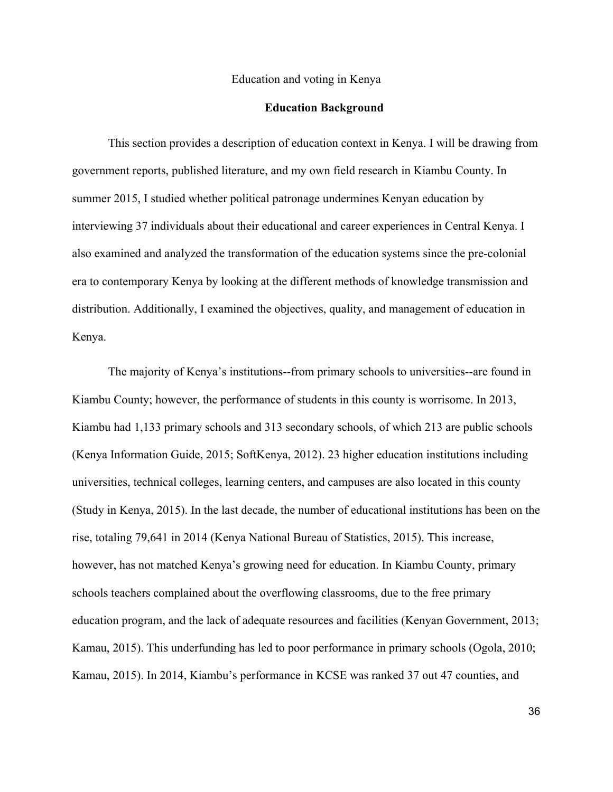#### **Education Background**

This section provides a description of education context in Kenya. I will be drawing from government reports, published literature, and my own field research in Kiambu County. In summer 2015, I studied whether political patronage undermines Kenyan education by interviewing 37 individuals about their educational and career experiences in Central Kenya. I also examined and analyzed the transformation of the education systems since the pre-colonial era to contemporary Kenya by looking at the different methods of knowledge transmission and distribution. Additionally, I examined the objectives, quality, and management of education in Kenya.

The majority of Kenya's institutions--from primary schools to universities--are found in Kiambu County; however, the performance of students in this county is worrisome. In 2013, Kiambu had 1,133 primary schools and 313 secondary schools, of which 213 are public schools (Kenya Information Guide, 2015; SoftKenya, 2012). 23 higher education institutions including universities, technical colleges, learning centers, and campuses are also located in this county (Study in Kenya, 2015). In the last decade, the number of educational institutions has been on the rise, totaling 79,641 in 2014 (Kenya National Bureau of Statistics, 2015). This increase, however, has not matched Kenya's growing need for education. In Kiambu County, primary schools teachers complained about the overflowing classrooms, due to the free primary education program, and the lack of adequate resources and facilities (Kenyan Government, 2013; Kamau, 2015). This underfunding has led to poor performance in primary schools (Ogola, 2010; Kamau, 2015). In 2014, Kiambu's performance in KCSE was ranked 37 out 47 counties, and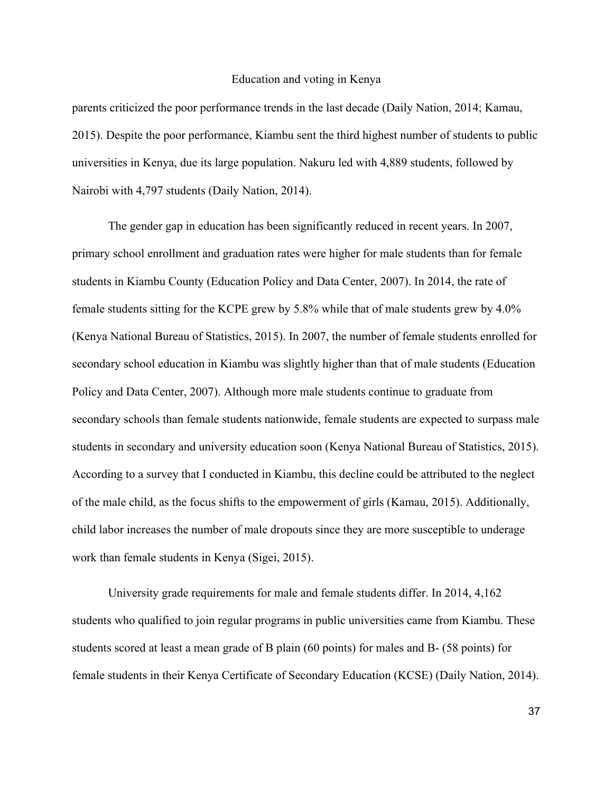parents criticized the poor performance trends in the last decade (Daily Nation, 2014; Kamau, 2015). Despite the poor performance, Kiambu sent the third highest number of students to public universities in Kenya, due its large population. Nakuru led with 4,889 students, followed by Nairobi with 4,797 students (Daily Nation, 2014).

The gender gap in education has been significantly reduced in recent years. In 2007, primary school enrollment and graduation rates were higher for male students than for female students in Kiambu County (Education Policy and Data Center, 2007). In 2014, the rate of female students sitting for the KCPE grew by 5.8% while that of male students grew by 4.0% (Kenya National Bureau of Statistics, 2015). In 2007, the number of female students enrolled for secondary school education in Kiambu was slightly higher than that of male students (Education Policy and Data Center, 2007). Although more male students continue to graduate from secondary schools than female students nationwide, female students are expected to surpass male students in secondary and university education soon (Kenya National Bureau of Statistics, 2015). According to a survey that I conducted in Kiambu, this decline could be attributed to the neglect of the male child, as the focus shifts to the empowerment of girls (Kamau, 2015). Additionally, child labor increases the number of male dropouts since they are more susceptible to underage work than female students in Kenya (Sigei, 2015).

University grade requirements for male and female students differ. In 2014, 4,162 students who qualified to join regular programs in public universities came from Kiambu. These students scored at least a mean grade of B plain (60 points) for males and B- (58 points) for female students in their Kenya Certificate of Secondary Education (KCSE) (Daily Nation, 2014).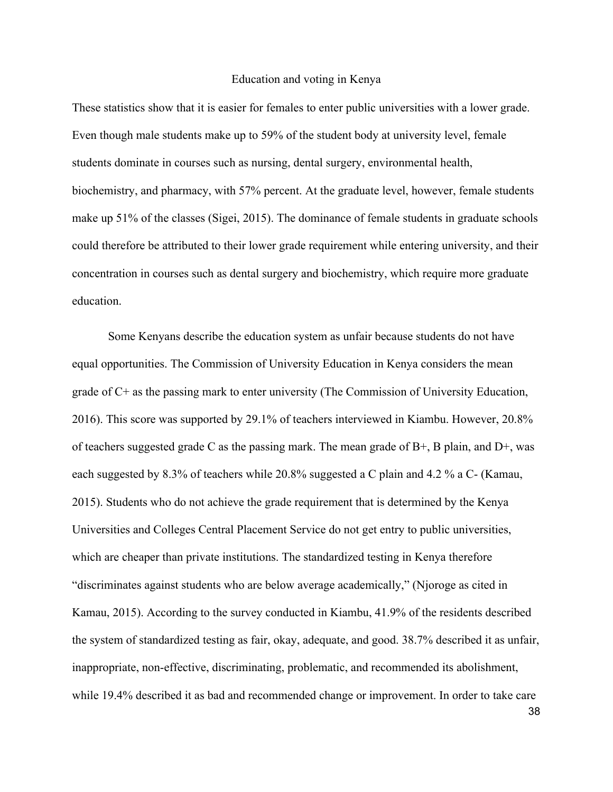These statistics show that it is easier for females to enter public universities with a lower grade. Even though male students make up to 59% of the student body at university level, female students dominate in courses such as nursing, dental surgery, environmental health, biochemistry, and pharmacy, with 57% percent. At the graduate level, however, female students make up 51% of the classes (Sigei, 2015). The dominance of female students in graduate schools could therefore be attributed to their lower grade requirement while entering university, and their concentration in courses such as dental surgery and biochemistry, which require more graduate education.

Some Kenyans describe the education system as unfair because students do not have equal opportunities. The Commission of University Education in Kenya considers the mean grade of C+ as the passing mark to enter university (The Commission of University Education, 2016). This score was supported by 29.1% of teachers interviewed in Kiambu. However, 20.8% of teachers suggested grade C as the passing mark. The mean grade of  $B<sup>+</sup>$ , B plain, and  $D<sup>+</sup>$ , was each suggested by 8.3% of teachers while 20.8% suggested a C plain and 4.2 % a C- (Kamau, 2015). Students who do not achieve the grade requirement that is determined by the Kenya Universities and Colleges Central Placement Service do not get entry to public universities, which are cheaper than private institutions. The standardized testing in Kenya therefore "discriminates against students who are below average academically," (Njoroge as cited in Kamau, 2015). According to the survey conducted in Kiambu, 41.9% of the residents described the system of standardized testing as fair, okay, adequate, and good. 38.7% described it as unfair, inappropriate, non-effective, discriminating, problematic, and recommended its abolishment, while 19.4% described it as bad and recommended change or improvement. In order to take care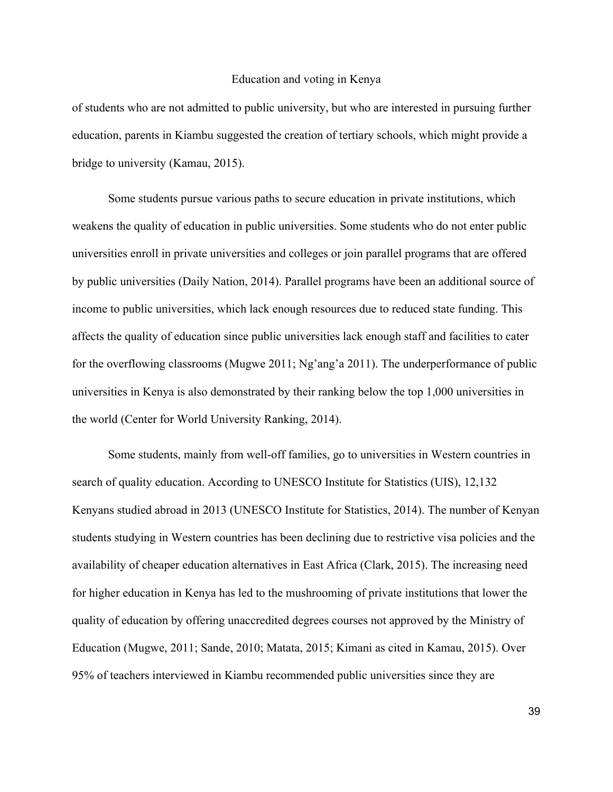of students who are not admitted to public university, but who are interested in pursuing further education, parents in Kiambu suggested the creation of tertiary schools, which might provide a bridge to university (Kamau, 2015).

Some students pursue various paths to secure education in private institutions, which weakens the quality of education in public universities. Some students who do not enter public universities enroll in private universities and colleges or join parallel programs that are offered by public universities (Daily Nation, 2014). Parallel programs have been an additional source of income to public universities, which lack enough resources due to reduced state funding. This affects the quality of education since public universities lack enough staff and facilities to cater for the overflowing classrooms (Mugwe 2011; Ng'ang'a 2011). The underperformance of public universities in Kenya is also demonstrated by their ranking below the top 1,000 universities in the world (Center for World University Ranking, 2014).

Some students, mainly from well-off families, go to universities in Western countries in search of quality education. According to UNESCO Institute for Statistics (UIS), 12,132 Kenyans studied abroad in 2013 (UNESCO Institute for Statistics, 2014). The number of Kenyan students studying in Western countries has been declining due to restrictive visa policies and the availability of cheaper education alternatives in East Africa (Clark, 2015). The increasing need for higher education in Kenya has led to the mushrooming of private institutions that lower the quality of education by offering unaccredited degrees courses not approved by the Ministry of Education (Mugwe, 2011; Sande, 2010; Matata, 2015; Kimani as cited in Kamau, 2015). Over 95% of teachers interviewed in Kiambu recommended public universities since they are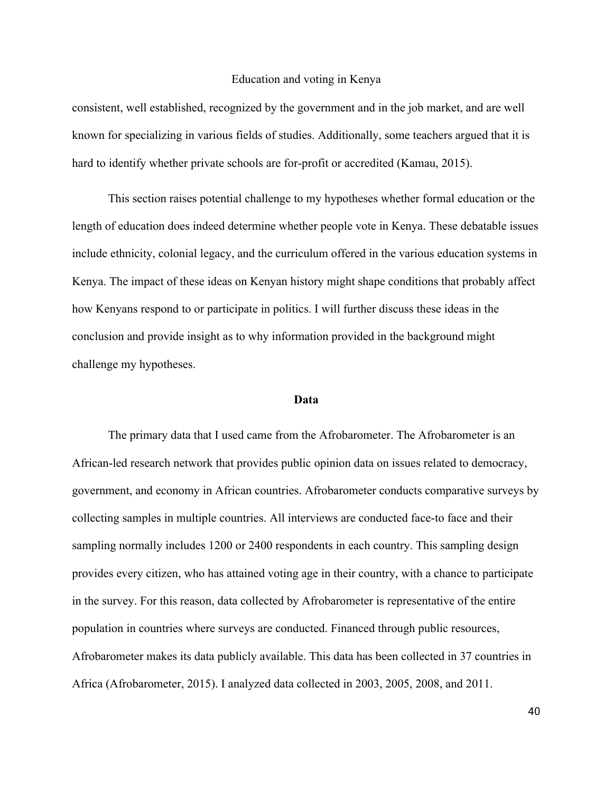consistent, well established, recognized by the government and in the job market, and are well known for specializing in various fields of studies. Additionally, some teachers argued that it is hard to identify whether private schools are for-profit or accredited (Kamau, 2015).

This section raises potential challenge to my hypotheses whether formal education or the length of education does indeed determine whether people vote in Kenya. These debatable issues include ethnicity, colonial legacy, and the curriculum offered in the various education systems in Kenya. The impact of these ideas on Kenyan history might shape conditions that probably affect how Kenyans respond to or participate in politics. I will further discuss these ideas in the conclusion and provide insight as to why information provided in the background might challenge my hypotheses.

#### **Data**

The primary data that I used came from the Afrobarometer. The Afrobarometer is an African-led research network that provides public opinion data on issues related to democracy, government, and economy in African countries. Afrobarometer conducts comparative surveys by collecting samples in multiple countries. All interviews are conducted face-to face and their sampling normally includes 1200 or 2400 respondents in each country. This sampling design provides every citizen, who has attained voting age in their country, with a chance to participate in the survey. For this reason, data collected by Afrobarometer is representative of the entire population in countries where surveys are conducted. Financed through public resources, Afrobarometer makes its data publicly available. This data has been collected in 37 countries in Africa (Afrobarometer, 2015). I analyzed data collected in 2003, 2005, 2008, and 2011.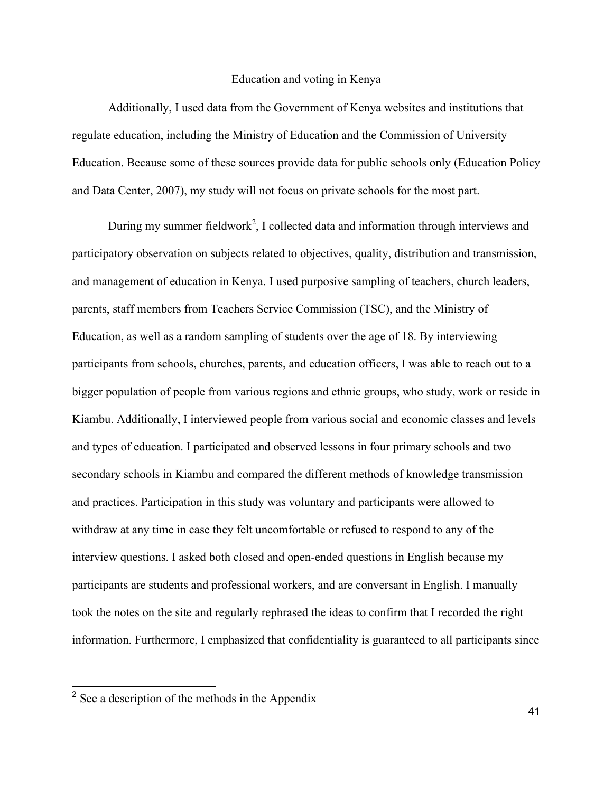Additionally, I used data from the Government of Kenya websites and institutions that regulate education, including the Ministry of Education and the Commission of University Education. Because some of these sources provide data for public schools only (Education Policy and Data Center, 2007), my study will not focus on private schools for the most part.

During my summer fieldwork<sup>2</sup>, I collected data and information through interviews and participatory observation on subjects related to objectives, quality, distribution and transmission, and management of education in Kenya. I used purposive sampling of teachers, church leaders, parents, staff members from Teachers Service Commission (TSC), and the Ministry of Education, as well as a random sampling of students over the age of 18. By interviewing participants from schools, churches, parents, and education officers, I was able to reach out to a bigger population of people from various regions and ethnic groups, who study, work or reside in Kiambu. Additionally, I interviewed people from various social and economic classes and levels and types of education. I participated and observed lessons in four primary schools and two secondary schools in Kiambu and compared the different methods of knowledge transmission and practices. Participation in this study was voluntary and participants were allowed to withdraw at any time in case they felt uncomfortable or refused to respond to any of the interview questions. I asked both closed and open-ended questions in English because my participants are students and professional workers, and are conversant in English. I manually took the notes on the site and regularly rephrased the ideas to confirm that I recorded the right information. Furthermore, I emphasized that confidentiality is guaranteed to all participants since

 <sup>2</sup> See a description of the methods in the Appendix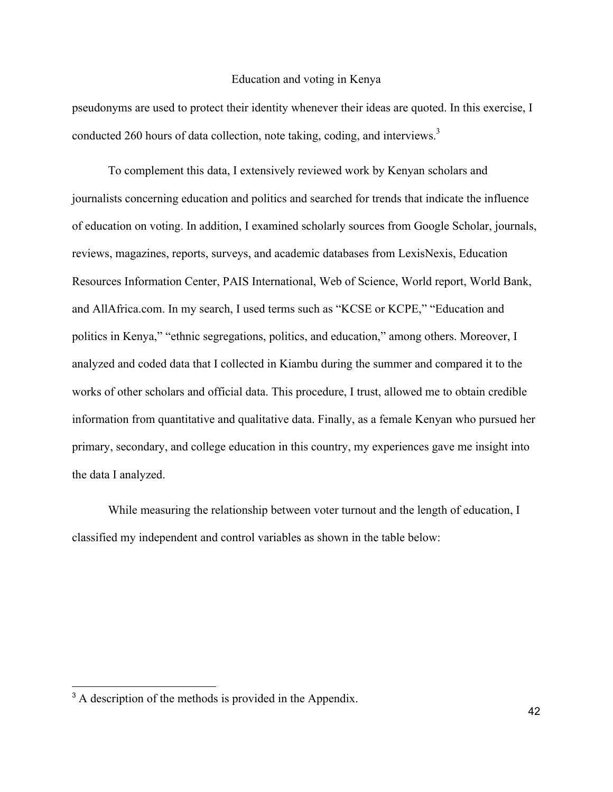pseudonyms are used to protect their identity whenever their ideas are quoted. In this exercise, I conducted 260 hours of data collection, note taking, coding, and interviews.<sup>3</sup>

To complement this data, I extensively reviewed work by Kenyan scholars and journalists concerning education and politics and searched for trends that indicate the influence of education on voting. In addition, I examined scholarly sources from Google Scholar, journals, reviews, magazines, reports, surveys, and academic databases from LexisNexis, Education Resources Information Center, PAIS International, Web of Science, World report, World Bank, and AllAfrica.com. In my search, I used terms such as "KCSE or KCPE," "Education and politics in Kenya," "ethnic segregations, politics, and education," among others. Moreover, I analyzed and coded data that I collected in Kiambu during the summer and compared it to the works of other scholars and official data. This procedure, I trust, allowed me to obtain credible information from quantitative and qualitative data. Finally, as a female Kenyan who pursued her primary, secondary, and college education in this country, my experiences gave me insight into the data I analyzed.

While measuring the relationship between voter turnout and the length of education, I classified my independent and control variables as shown in the table below:

<sup>&</sup>lt;sup>3</sup> A description of the methods is provided in the Appendix.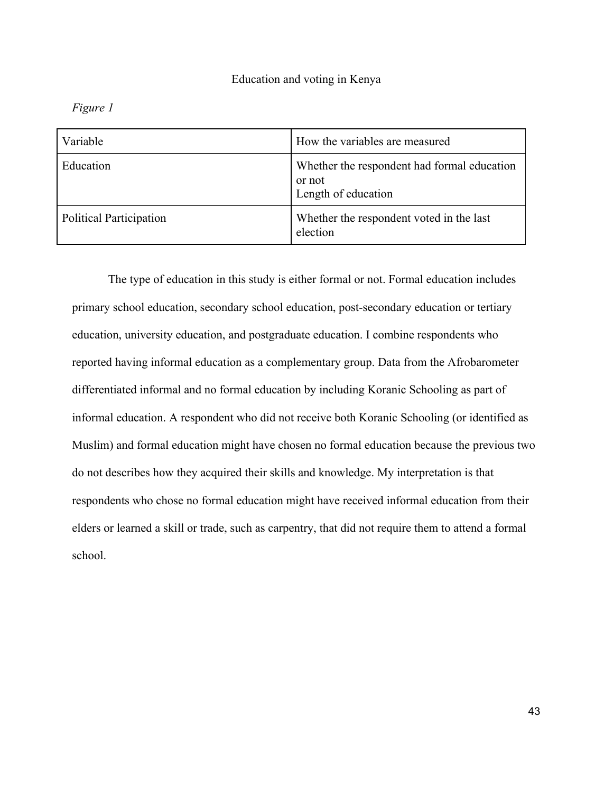*Figure 1*

| Variable                | How the variables are measured                                               |
|-------------------------|------------------------------------------------------------------------------|
| Education               | Whether the respondent had formal education<br>or not<br>Length of education |
| Political Participation | Whether the respondent voted in the last<br>election                         |

The type of education in this study is either formal or not. Formal education includes primary school education, secondary school education, post-secondary education or tertiary education, university education, and postgraduate education. I combine respondents who reported having informal education as a complementary group. Data from the Afrobarometer differentiated informal and no formal education by including Koranic Schooling as part of informal education. A respondent who did not receive both Koranic Schooling (or identified as Muslim) and formal education might have chosen no formal education because the previous two do not describes how they acquired their skills and knowledge. My interpretation is that respondents who chose no formal education might have received informal education from their elders or learned a skill or trade, such as carpentry, that did not require them to attend a formal school.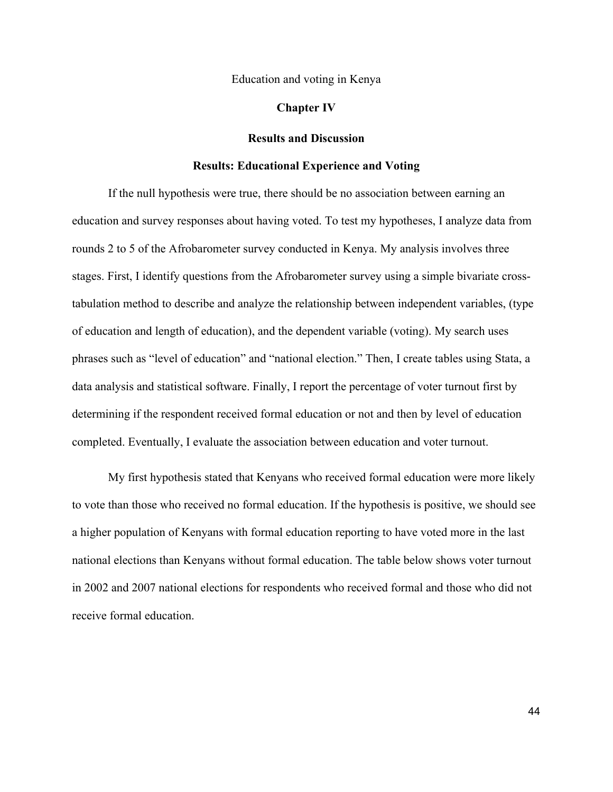#### **Chapter IV**

#### **Results and Discussion**

#### **Results: Educational Experience and Voting**

If the null hypothesis were true, there should be no association between earning an education and survey responses about having voted. To test my hypotheses, I analyze data from rounds 2 to 5 of the Afrobarometer survey conducted in Kenya. My analysis involves three stages. First, I identify questions from the Afrobarometer survey using a simple bivariate crosstabulation method to describe and analyze the relationship between independent variables, (type of education and length of education), and the dependent variable (voting). My search uses phrases such as "level of education" and "national election." Then, I create tables using Stata, a data analysis and statistical software. Finally, I report the percentage of voter turnout first by determining if the respondent received formal education or not and then by level of education completed. Eventually, I evaluate the association between education and voter turnout.

My first hypothesis stated that Kenyans who received formal education were more likely to vote than those who received no formal education. If the hypothesis is positive, we should see a higher population of Kenyans with formal education reporting to have voted more in the last national elections than Kenyans without formal education. The table below shows voter turnout in 2002 and 2007 national elections for respondents who received formal and those who did not receive formal education.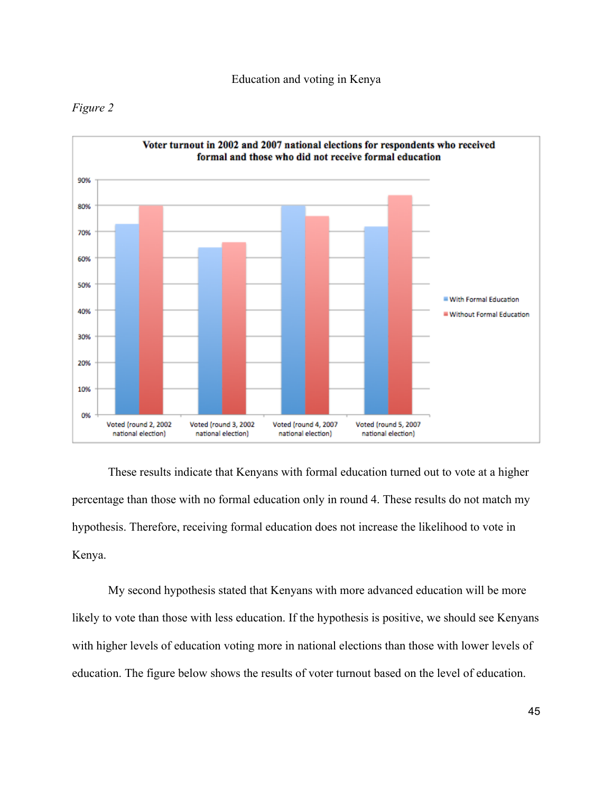



These results indicate that Kenyans with formal education turned out to vote at a higher percentage than those with no formal education only in round 4. These results do not match my hypothesis. Therefore, receiving formal education does not increase the likelihood to vote in Kenya.

My second hypothesis stated that Kenyans with more advanced education will be more likely to vote than those with less education. If the hypothesis is positive, we should see Kenyans with higher levels of education voting more in national elections than those with lower levels of education. The figure below shows the results of voter turnout based on the level of education.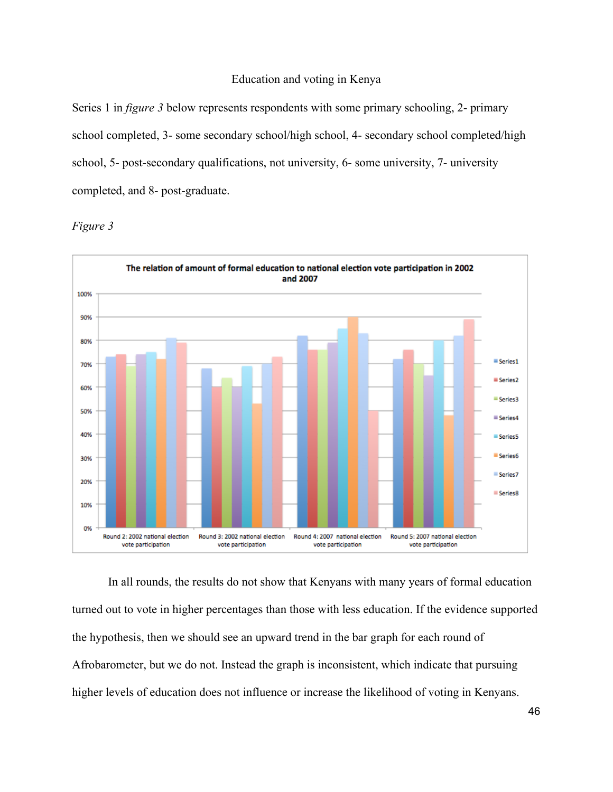Series 1 in *figure 3* below represents respondents with some primary schooling, 2- primary school completed, 3- some secondary school/high school, 4- secondary school completed/high school, 5- post-secondary qualifications, not university, 6- some university, 7- university completed, and 8- post-graduate.



*Figure 3*

In all rounds, the results do not show that Kenyans with many years of formal education turned out to vote in higher percentages than those with less education. If the evidence supported the hypothesis, then we should see an upward trend in the bar graph for each round of Afrobarometer, but we do not. Instead the graph is inconsistent, which indicate that pursuing higher levels of education does not influence or increase the likelihood of voting in Kenyans.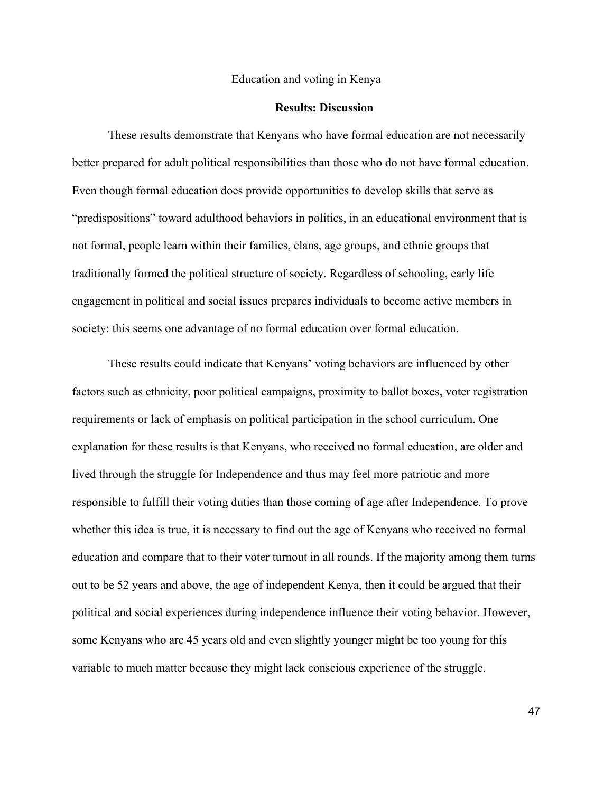#### **Results: Discussion**

These results demonstrate that Kenyans who have formal education are not necessarily better prepared for adult political responsibilities than those who do not have formal education. Even though formal education does provide opportunities to develop skills that serve as "predispositions" toward adulthood behaviors in politics, in an educational environment that is not formal, people learn within their families, clans, age groups, and ethnic groups that traditionally formed the political structure of society. Regardless of schooling, early life engagement in political and social issues prepares individuals to become active members in society: this seems one advantage of no formal education over formal education.

These results could indicate that Kenyans' voting behaviors are influenced by other factors such as ethnicity, poor political campaigns, proximity to ballot boxes, voter registration requirements or lack of emphasis on political participation in the school curriculum. One explanation for these results is that Kenyans, who received no formal education, are older and lived through the struggle for Independence and thus may feel more patriotic and more responsible to fulfill their voting duties than those coming of age after Independence. To prove whether this idea is true, it is necessary to find out the age of Kenyans who received no formal education and compare that to their voter turnout in all rounds. If the majority among them turns out to be 52 years and above, the age of independent Kenya, then it could be argued that their political and social experiences during independence influence their voting behavior. However, some Kenyans who are 45 years old and even slightly younger might be too young for this variable to much matter because they might lack conscious experience of the struggle.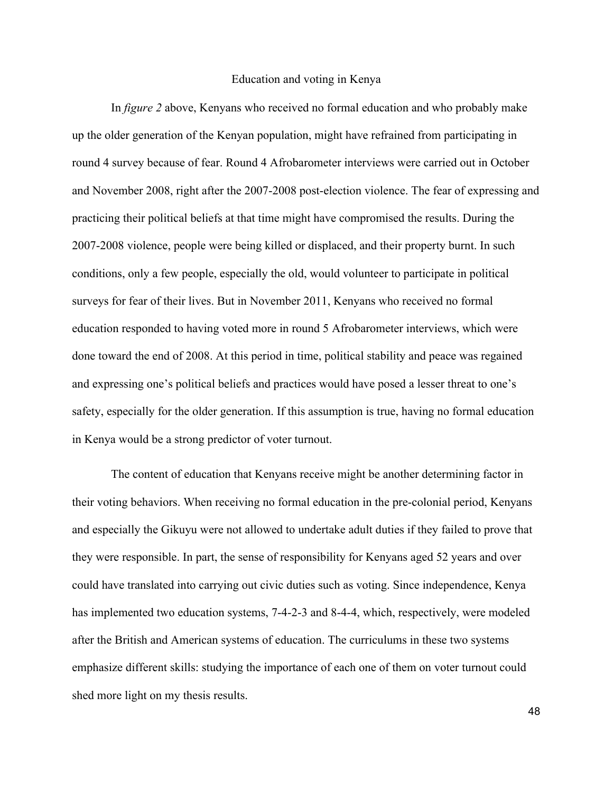In *figure 2* above, Kenyans who received no formal education and who probably make up the older generation of the Kenyan population, might have refrained from participating in round 4 survey because of fear. Round 4 Afrobarometer interviews were carried out in October and November 2008, right after the 2007-2008 post-election violence. The fear of expressing and practicing their political beliefs at that time might have compromised the results. During the 2007-2008 violence, people were being killed or displaced, and their property burnt. In such conditions, only a few people, especially the old, would volunteer to participate in political surveys for fear of their lives. But in November 2011, Kenyans who received no formal education responded to having voted more in round 5 Afrobarometer interviews, which were done toward the end of 2008. At this period in time, political stability and peace was regained and expressing one's political beliefs and practices would have posed a lesser threat to one's safety, especially for the older generation. If this assumption is true, having no formal education in Kenya would be a strong predictor of voter turnout.

The content of education that Kenyans receive might be another determining factor in their voting behaviors. When receiving no formal education in the pre-colonial period, Kenyans and especially the Gikuyu were not allowed to undertake adult duties if they failed to prove that they were responsible. In part, the sense of responsibility for Kenyans aged 52 years and over could have translated into carrying out civic duties such as voting. Since independence, Kenya has implemented two education systems, 7-4-2-3 and 8-4-4, which, respectively, were modeled after the British and American systems of education. The curriculums in these two systems emphasize different skills: studying the importance of each one of them on voter turnout could shed more light on my thesis results.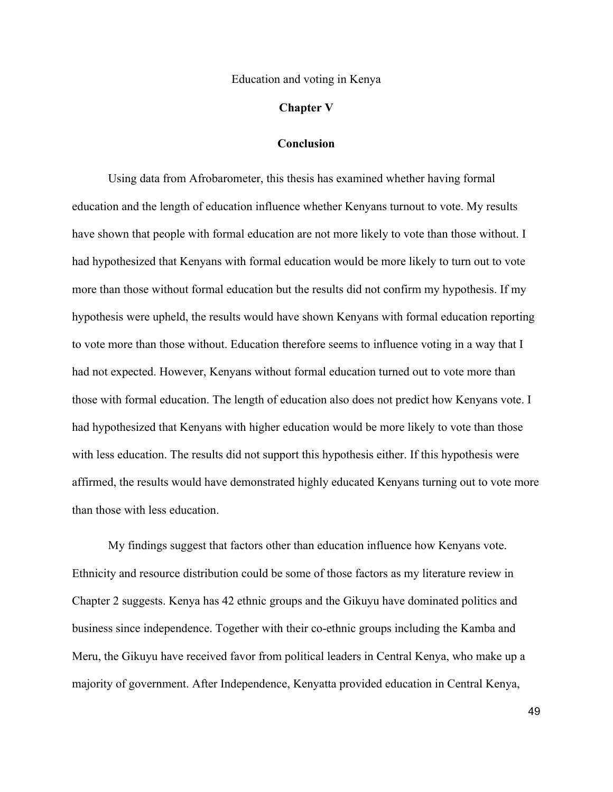#### **Chapter V**

#### **Conclusion**

Using data from Afrobarometer, this thesis has examined whether having formal education and the length of education influence whether Kenyans turnout to vote. My results have shown that people with formal education are not more likely to vote than those without. I had hypothesized that Kenyans with formal education would be more likely to turn out to vote more than those without formal education but the results did not confirm my hypothesis. If my hypothesis were upheld, the results would have shown Kenyans with formal education reporting to vote more than those without. Education therefore seems to influence voting in a way that I had not expected. However, Kenyans without formal education turned out to vote more than those with formal education. The length of education also does not predict how Kenyans vote. I had hypothesized that Kenyans with higher education would be more likely to vote than those with less education. The results did not support this hypothesis either. If this hypothesis were affirmed, the results would have demonstrated highly educated Kenyans turning out to vote more than those with less education.

My findings suggest that factors other than education influence how Kenyans vote. Ethnicity and resource distribution could be some of those factors as my literature review in Chapter 2 suggests. Kenya has 42 ethnic groups and the Gikuyu have dominated politics and business since independence. Together with their co-ethnic groups including the Kamba and Meru, the Gikuyu have received favor from political leaders in Central Kenya, who make up a majority of government. After Independence, Kenyatta provided education in Central Kenya,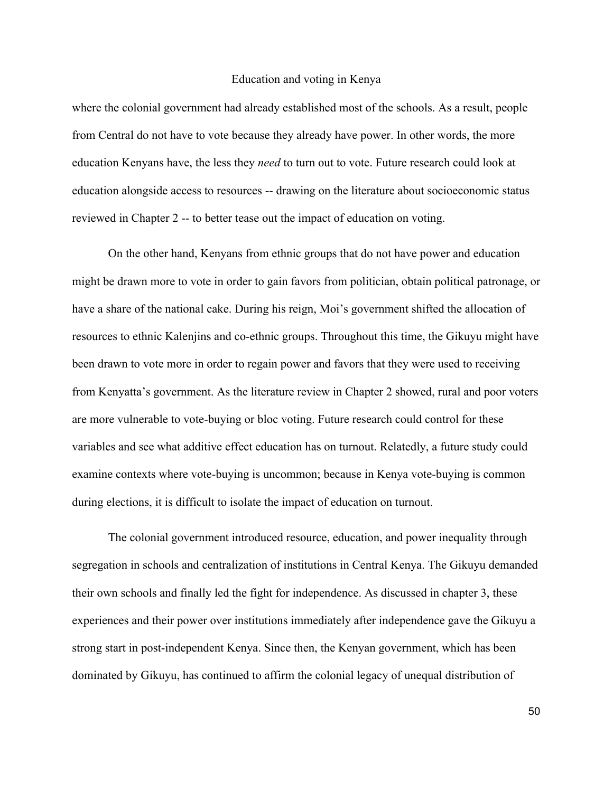where the colonial government had already established most of the schools. As a result, people from Central do not have to vote because they already have power. In other words, the more education Kenyans have, the less they *need* to turn out to vote. Future research could look at education alongside access to resources -- drawing on the literature about socioeconomic status reviewed in Chapter 2 -- to better tease out the impact of education on voting.

On the other hand, Kenyans from ethnic groups that do not have power and education might be drawn more to vote in order to gain favors from politician, obtain political patronage, or have a share of the national cake. During his reign, Moi's government shifted the allocation of resources to ethnic Kalenjins and co-ethnic groups. Throughout this time, the Gikuyu might have been drawn to vote more in order to regain power and favors that they were used to receiving from Kenyatta's government. As the literature review in Chapter 2 showed, rural and poor voters are more vulnerable to vote-buying or bloc voting. Future research could control for these variables and see what additive effect education has on turnout. Relatedly, a future study could examine contexts where vote-buying is uncommon; because in Kenya vote-buying is common during elections, it is difficult to isolate the impact of education on turnout.

The colonial government introduced resource, education, and power inequality through segregation in schools and centralization of institutions in Central Kenya. The Gikuyu demanded their own schools and finally led the fight for independence. As discussed in chapter 3, these experiences and their power over institutions immediately after independence gave the Gikuyu a strong start in post-independent Kenya. Since then, the Kenyan government, which has been dominated by Gikuyu, has continued to affirm the colonial legacy of unequal distribution of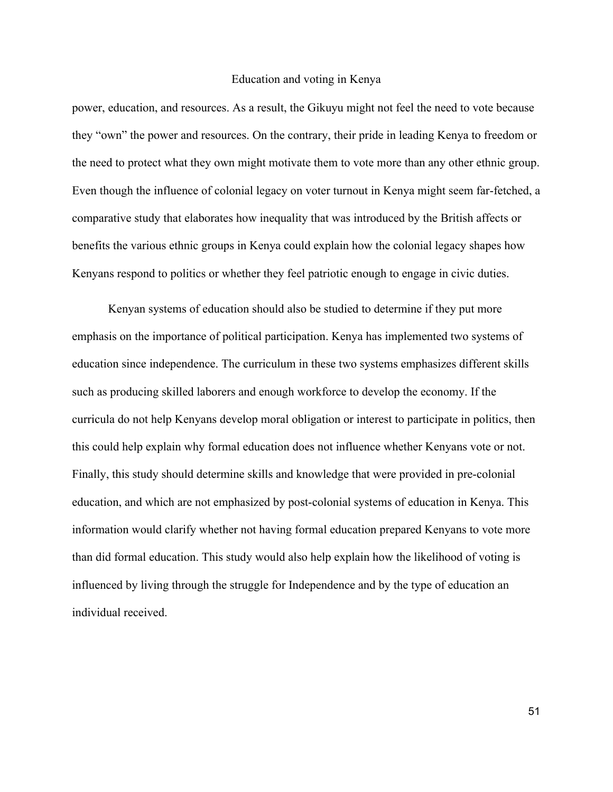power, education, and resources. As a result, the Gikuyu might not feel the need to vote because they "own" the power and resources. On the contrary, their pride in leading Kenya to freedom or the need to protect what they own might motivate them to vote more than any other ethnic group. Even though the influence of colonial legacy on voter turnout in Kenya might seem far-fetched, a comparative study that elaborates how inequality that was introduced by the British affects or benefits the various ethnic groups in Kenya could explain how the colonial legacy shapes how Kenyans respond to politics or whether they feel patriotic enough to engage in civic duties.

Kenyan systems of education should also be studied to determine if they put more emphasis on the importance of political participation. Kenya has implemented two systems of education since independence. The curriculum in these two systems emphasizes different skills such as producing skilled laborers and enough workforce to develop the economy. If the curricula do not help Kenyans develop moral obligation or interest to participate in politics, then this could help explain why formal education does not influence whether Kenyans vote or not. Finally, this study should determine skills and knowledge that were provided in pre-colonial education, and which are not emphasized by post-colonial systems of education in Kenya. This information would clarify whether not having formal education prepared Kenyans to vote more than did formal education. This study would also help explain how the likelihood of voting is influenced by living through the struggle for Independence and by the type of education an individual received.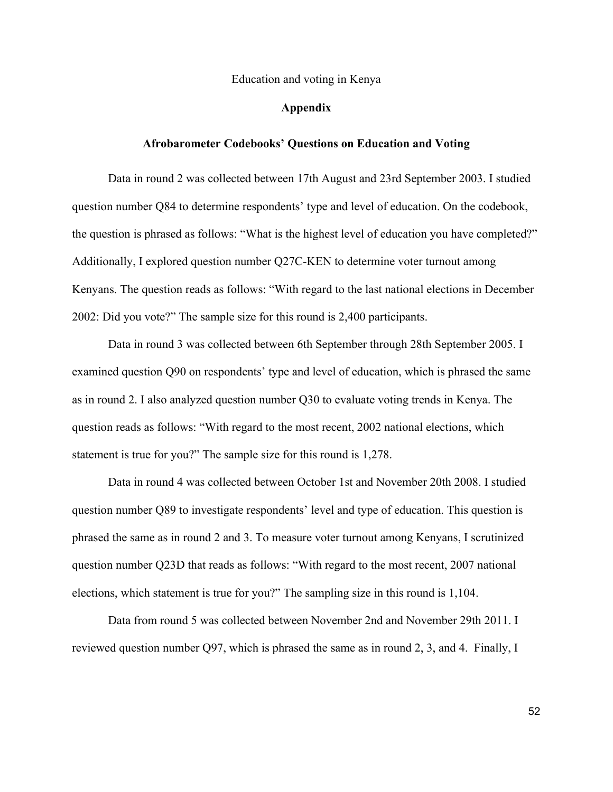#### **Appendix**

#### **Afrobarometer Codebooks' Questions on Education and Voting**

Data in round 2 was collected between 17th August and 23rd September 2003. I studied question number Q84 to determine respondents' type and level of education. On the codebook, the question is phrased as follows: "What is the highest level of education you have completed?" Additionally, I explored question number Q27C-KEN to determine voter turnout among Kenyans. The question reads as follows: "With regard to the last national elections in December 2002: Did you vote?" The sample size for this round is 2,400 participants.

Data in round 3 was collected between 6th September through 28th September 2005. I examined question Q90 on respondents' type and level of education, which is phrased the same as in round 2. I also analyzed question number Q30 to evaluate voting trends in Kenya. The question reads as follows: "With regard to the most recent, 2002 national elections, which statement is true for you?" The sample size for this round is 1,278.

Data in round 4 was collected between October 1st and November 20th 2008. I studied question number Q89 to investigate respondents' level and type of education. This question is phrased the same as in round 2 and 3. To measure voter turnout among Kenyans, I scrutinized question number Q23D that reads as follows: "With regard to the most recent, 2007 national elections, which statement is true for you?" The sampling size in this round is 1,104.

Data from round 5 was collected between November 2nd and November 29th 2011. I reviewed question number Q97, which is phrased the same as in round 2, 3, and 4. Finally, I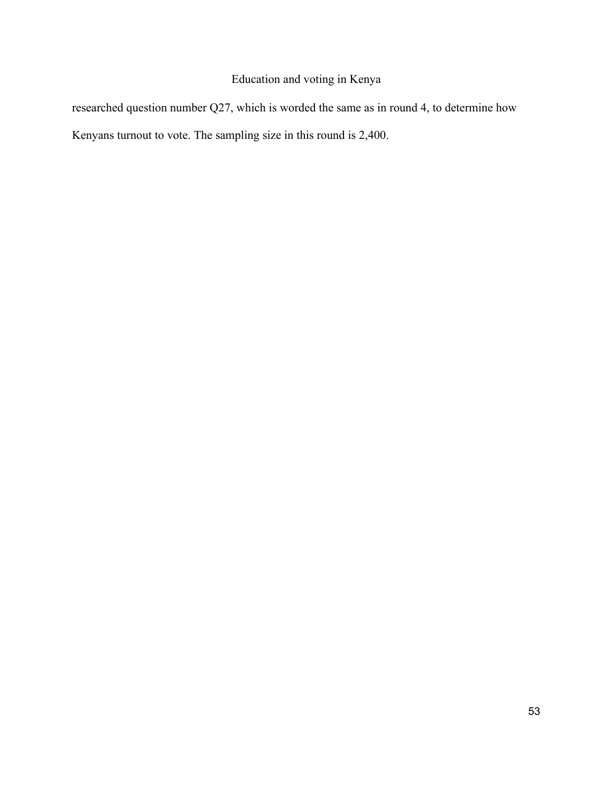researched question number Q27, which is worded the same as in round 4, to determine how Kenyans turnout to vote. The sampling size in this round is 2,400.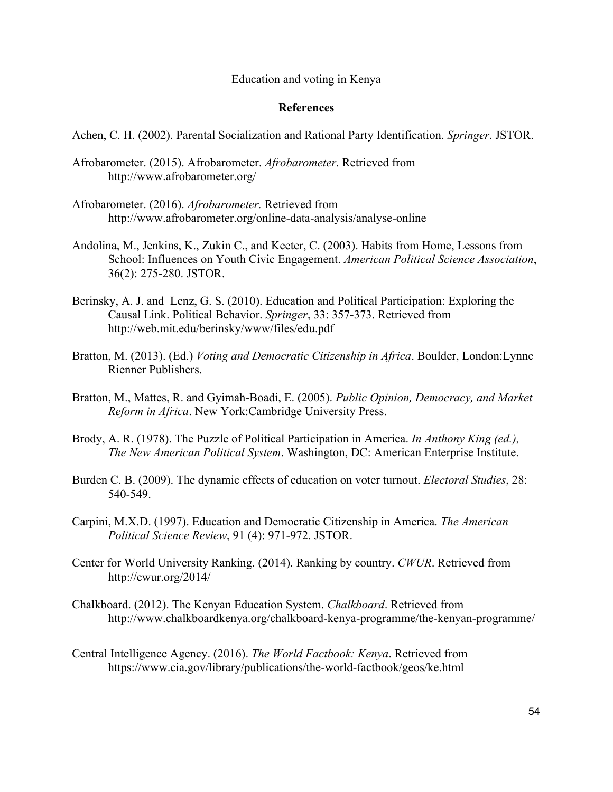#### **References**

Achen, C. H. (2002). Parental Socialization and Rational Party Identification. *Springer*. JSTOR.

- Afrobarometer. (2015). Afrobarometer. *Afrobarometer*. Retrieved from http://www.afrobarometer.org/
- Afrobarometer. (2016). *Afrobarometer.* Retrieved from http://www.afrobarometer.org/online-data-analysis/analyse-online
- Andolina, M., Jenkins, K., Zukin C., and Keeter, C. (2003). Habits from Home, Lessons from School: Influences on Youth Civic Engagement. *American Political Science Association*, 36(2): 275-280. JSTOR.
- Berinsky, A. J. and Lenz, G. S. (2010). Education and Political Participation: Exploring the Causal Link. Political Behavior. *Springer*, 33: 357-373. Retrieved from http://web.mit.edu/berinsky/www/files/edu.pdf
- Bratton, M. (2013). (Ed.) *Voting and Democratic Citizenship in Africa*. Boulder, London:Lynne Rienner Publishers.
- Bratton, M., Mattes, R. and Gyimah-Boadi, E. (2005). *Public Opinion, Democracy, and Market Reform in Africa*. New York:Cambridge University Press.
- Brody, A. R. (1978). The Puzzle of Political Participation in America. *In Anthony King (ed.), The New American Political System*. Washington, DC: American Enterprise Institute.
- Burden C. B. (2009). The dynamic effects of education on voter turnout. *Electoral Studies*, 28: 540-549.
- Carpini, M.X.D. (1997). Education and Democratic Citizenship in America. *The American Political Science Review*, 91 (4): 971-972. JSTOR.
- Center for World University Ranking. (2014). Ranking by country. *CWUR*. Retrieved from http://cwur.org/2014/
- Chalkboard. (2012). The Kenyan Education System. *Chalkboard*. Retrieved from http://www.chalkboardkenya.org/chalkboard-kenya-programme/the-kenyan-programme/
- Central Intelligence Agency. (2016). *The World Factbook: Kenya*. Retrieved from https://www.cia.gov/library/publications/the-world-factbook/geos/ke.html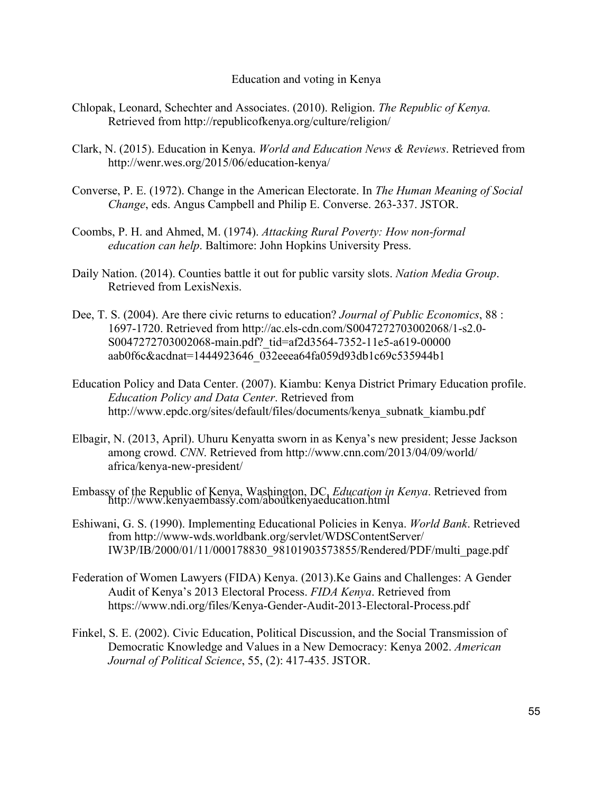- Chlopak, Leonard, Schechter and Associates. (2010). Religion. *The Republic of Kenya.* Retrieved from http://republicofkenya.org/culture/religion/
- Clark, N. (2015). Education in Kenya. *World and Education News & Reviews*. Retrieved from http://wenr.wes.org/2015/06/education-kenya/
- Converse, P. E. (1972). Change in the American Electorate. In *The Human Meaning of Social Change*, eds. Angus Campbell and Philip E. Converse. 263-337. JSTOR.
- Coombs, P. H. and Ahmed, M. (1974). *Attacking Rural Poverty: How non-formal education can help*. Baltimore: John Hopkins University Press.
- Daily Nation. (2014). Counties battle it out for public varsity slots. *Nation Media Group*. Retrieved from LexisNexis.
- Dee, T. S. (2004). Are there civic returns to education? *Journal of Public Economics*, 88 : 1697-1720. Retrieved from http://ac.els-cdn.com/S0047272703002068/1-s2.0- S0047272703002068-main.pdf? tid=af2d3564-7352-11e5-a619-00000 aab0f6c&acdnat=1444923646\_032eeea64fa059d93db1c69c535944b1
- Education Policy and Data Center. (2007). Kiambu: Kenya District Primary Education profile. *Education Policy and Data Center*. Retrieved from http://www.epdc.org/sites/default/files/documents/kenya\_subnatk\_kiambu.pdf
- Elbagir, N. (2013, April). Uhuru Kenyatta sworn in as Kenya's new president; Jesse Jackson among crowd. *CNN*. Retrieved from http://www.cnn.com/2013/04/09/world/ africa/kenya-new-president/
- Embassy of the Republic of Kenya, Washington, DC. *Education in Kenya*. Retrieved from http://www.kenyaembassy.com/aboutkenyaeducation.html
- Eshiwani, G. S. (1990). Implementing Educational Policies in Kenya. *World Bank*. Retrieved from http://www-wds.worldbank.org/servlet/WDSContentServer/ IW3P/IB/2000/01/11/000178830\_98101903573855/Rendered/PDF/multi\_page.pdf
- Federation of Women Lawyers (FIDA) Kenya. (2013).Ke Gains and Challenges: A Gender Audit of Kenya's 2013 Electoral Process. *FIDA Kenya*. Retrieved from https://www.ndi.org/files/Kenya-Gender-Audit-2013-Electoral-Process.pdf
- Finkel, S. E. (2002). Civic Education, Political Discussion, and the Social Transmission of Democratic Knowledge and Values in a New Democracy: Kenya 2002. *American Journal of Political Science*, 55, (2): 417-435. JSTOR.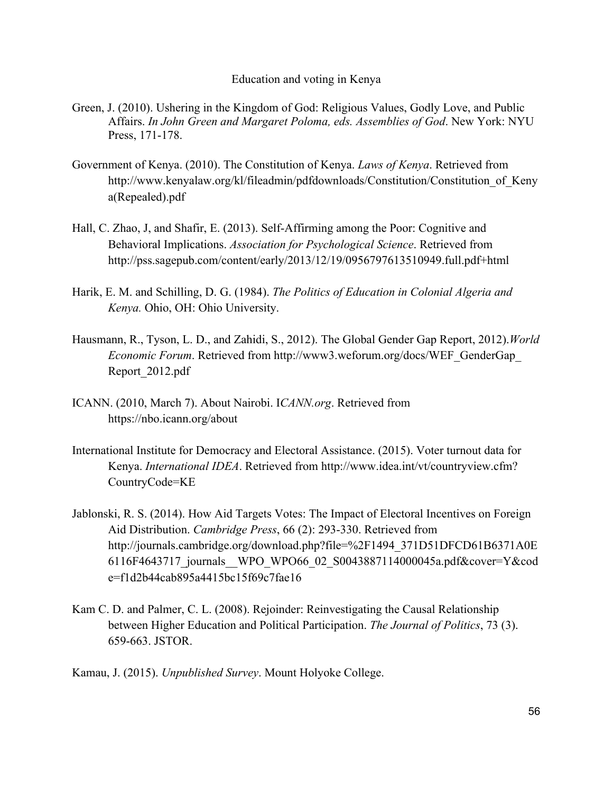- Green, J. (2010). Ushering in the Kingdom of God: Religious Values, Godly Love, and Public Affairs. *In John Green and Margaret Poloma, eds. Assemblies of God*. New York: NYU Press, 171-178.
- Government of Kenya. (2010). The Constitution of Kenya. *Laws of Kenya*. Retrieved from http://www.kenyalaw.org/kl/fileadmin/pdfdownloads/Constitution/Constitution of Keny a(Repealed).pdf
- Hall, C. Zhao, J, and Shafir, E. (2013). Self-Affirming among the Poor: Cognitive and Behavioral Implications. *Association for Psychological Science*. Retrieved from http://pss.sagepub.com/content/early/2013/12/19/0956797613510949.full.pdf+html
- Harik, E. M. and Schilling, D. G. (1984). *The Politics of Education in Colonial Algeria and Kenya.* Ohio, OH: Ohio University.
- Hausmann, R., Tyson, L. D., and Zahidi, S., 2012). The Global Gender Gap Report, 2012).*World Economic Forum*. Retrieved from http://www3.weforum.org/docs/WEF\_GenderGap\_ Report\_2012.pdf
- ICANN. (2010, March 7). About Nairobi. I*CANN.org*. Retrieved from https://nbo.icann.org/about
- International Institute for Democracy and Electoral Assistance. (2015). Voter turnout data for Kenya. *International IDEA*. Retrieved from http://www.idea.int/vt/countryview.cfm? CountryCode=KE
- Jablonski, R. S. (2014). How Aid Targets Votes: The Impact of Electoral Incentives on Foreign Aid Distribution. *Cambridge Press*, 66 (2): 293-330. Retrieved from http://journals.cambridge.org/download.php?file=%2F1494\_371D51DFCD61B6371A0E 6116F4643717\_journals\_\_WPO\_WPO66\_02\_S0043887114000045a.pdf&cover=Y&cod e=f1d2b44cab895a4415bc15f69c7fae16
- Kam C. D. and Palmer, C. L. (2008). Rejoinder: Reinvestigating the Causal Relationship between Higher Education and Political Participation. *The Journal of Politics*, 73 (3). 659-663. JSTOR.
- Kamau, J. (2015). *Unpublished Survey*. Mount Holyoke College.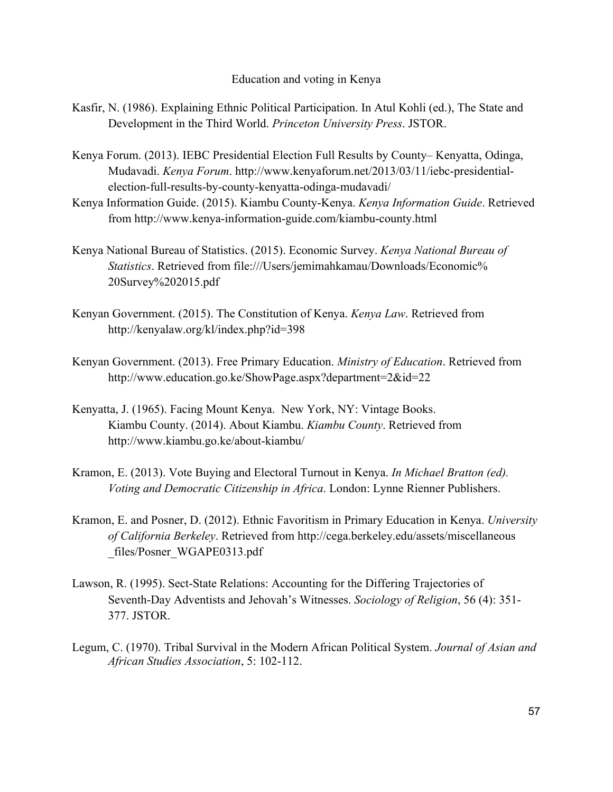- Kasfir, N. (1986). Explaining Ethnic Political Participation. In Atul Kohli (ed.), The State and Development in the Third World. *Princeton University Press*. JSTOR.
- Kenya Forum. (2013). IEBC Presidential Election Full Results by County– Kenyatta, Odinga, Mudavadi. *Kenya Forum*. http://www.kenyaforum.net/2013/03/11/iebc-presidentialelection-full-results-by-county-kenyatta-odinga-mudavadi/
- Kenya Information Guide. (2015). Kiambu County-Kenya. *Kenya Information Guide*. Retrieved from http://www.kenya-information-guide.com/kiambu-county.html
- Kenya National Bureau of Statistics. (2015). Economic Survey. *Kenya National Bureau of Statistics*. Retrieved from file:///Users/jemimahkamau/Downloads/Economic% 20Survey%202015.pdf
- Kenyan Government. (2015). The Constitution of Kenya. *Kenya Law*. Retrieved from http://kenyalaw.org/kl/index.php?id=398
- Kenyan Government. (2013). Free Primary Education. *Ministry of Education*. Retrieved from http://www.education.go.ke/ShowPage.aspx?department=2&id=22
- Kenyatta, J. (1965). Facing Mount Kenya. New York, NY: Vintage Books. Kiambu County. (2014). About Kiambu. *Kiambu County*. Retrieved from http://www.kiambu.go.ke/about-kiambu/
- Kramon, E. (2013). Vote Buying and Electoral Turnout in Kenya. *In Michael Bratton (ed). Voting and Democratic Citizenship in Africa*. London: Lynne Rienner Publishers.
- Kramon, E. and Posner, D. (2012). Ethnic Favoritism in Primary Education in Kenya. *University of California Berkeley*. Retrieved from http://cega.berkeley.edu/assets/miscellaneous \_files/Posner\_WGAPE0313.pdf
- Lawson, R. (1995). Sect-State Relations: Accounting for the Differing Trajectories of Seventh-Day Adventists and Jehovah's Witnesses. *Sociology of Religion*, 56 (4): 351- 377. JSTOR.
- Legum, C. (1970). Tribal Survival in the Modern African Political System. *Journal of Asian and African Studies Association*, 5: 102-112.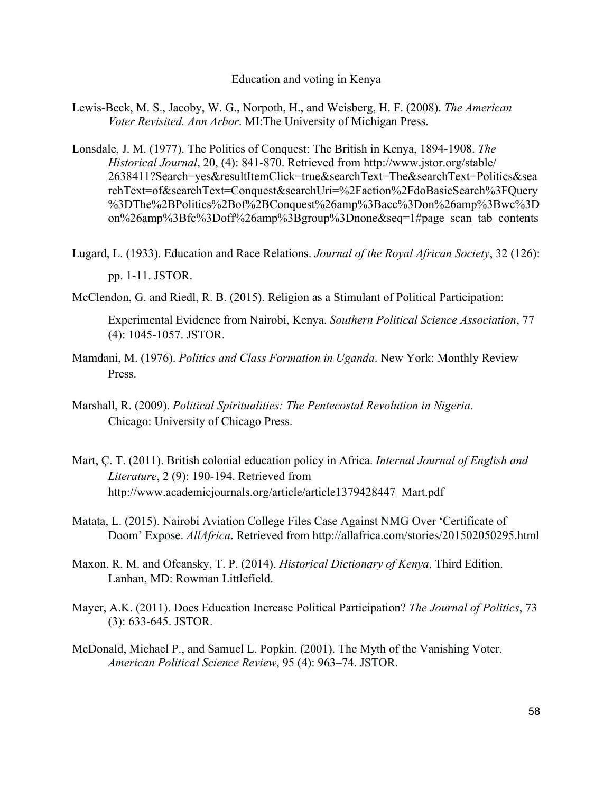- Lewis-Beck, M. S., Jacoby, W. G., Norpoth, H., and Weisberg, H. F. (2008). *The American Voter Revisited. Ann Arbor*. MI:The University of Michigan Press.
- Lonsdale, J. M. (1977). The Politics of Conquest: The British in Kenya, 1894-1908. *The Historical Journal*, 20, (4): 841-870. Retrieved from http://www.jstor.org/stable/ 2638411?Search=yes&resultItemClick=true&searchText=The&searchText=Politics&sea rchText=of&searchText=Conquest&searchUri=%2Faction%2FdoBasicSearch%3FQuery %3DThe%2BPolitics%2Bof%2BConquest%26amp%3Bacc%3Don%26amp%3Bwc%3D on%26amp%3Bfc%3Doff%26amp%3Bgroup%3Dnone&seq=1#page\_scan\_tab\_contents
- Lugard, L. (1933). Education and Race Relations. *Journal of the Royal African Society*, 32 (126): pp. 1-11. JSTOR.
- McClendon, G. and Riedl, R. B. (2015). Religion as a Stimulant of Political Participation:

Experimental Evidence from Nairobi, Kenya. *Southern Political Science Association*, 77 (4): 1045-1057. JSTOR.

- Mamdani, M. (1976). *Politics and Class Formation in Uganda*. New York: Monthly Review Press.
- Marshall, R. (2009). *Political Spiritualities: The Pentecostal Revolution in Nigeria*. Chicago: University of Chicago Press.
- Mart, Ç. T. (2011). British colonial education policy in Africa. *Internal Journal of English and Literature*, 2 (9): 190-194. Retrieved from http://www.academicjournals.org/article/article1379428447 Mart.pdf
- Matata, L. (2015). Nairobi Aviation College Files Case Against NMG Over 'Certificate of Doom' Expose. *AllAfrica*. Retrieved from http://allafrica.com/stories/201502050295.html
- Maxon. R. M. and Ofcansky, T. P. (2014). *Historical Dictionary of Kenya*. Third Edition. Lanhan, MD: Rowman Littlefield.
- Mayer, A.K. (2011). Does Education Increase Political Participation? *The Journal of Politics*, 73 (3): 633-645. JSTOR.
- McDonald, Michael P., and Samuel L. Popkin. (2001). The Myth of the Vanishing Voter. *American Political Science Review*, 95 (4): 963–74. JSTOR.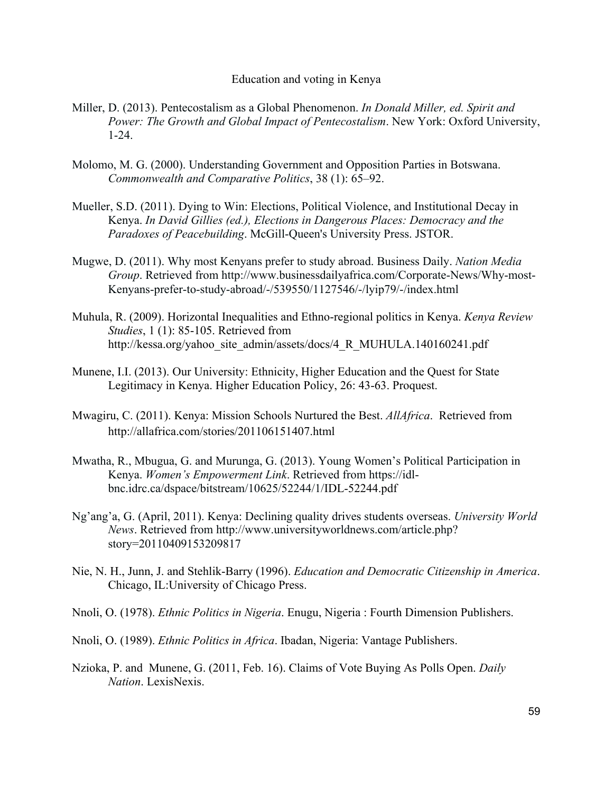- Miller, D. (2013). Pentecostalism as a Global Phenomenon. *In Donald Miller, ed. Spirit and Power: The Growth and Global Impact of Pentecostalism*. New York: Oxford University, 1-24.
- Molomo, M. G. (2000). Understanding Government and Opposition Parties in Botswana. *Commonwealth and Comparative Politics*, 38 (1): 65–92.
- Mueller, S.D. (2011). Dying to Win: Elections, Political Violence, and Institutional Decay in Kenya. *In David Gillies (ed.), Elections in Dangerous Places: Democracy and the Paradoxes of Peacebuilding*. McGill-Queen's University Press. JSTOR.
- Mugwe, D. (2011). Why most Kenyans prefer to study abroad. Business Daily. *Nation Media Group*. Retrieved from http://www.businessdailyafrica.com/Corporate-News/Why-most-Kenyans-prefer-to-study-abroad/-/539550/1127546/-/lyip79/-/index.html
- Muhula, R. (2009). Horizontal Inequalities and Ethno-regional politics in Kenya. *Kenya Review Studies*, 1 (1): 85-105. Retrieved from http://kessa.org/yahoo\_site\_admin/assets/docs/4\_R\_MUHULA.140160241.pdf
- Munene, I.I. (2013). Our University: Ethnicity, Higher Education and the Quest for State Legitimacy in Kenya. Higher Education Policy, 26: 43-63. Proquest.
- Mwagiru, C. (2011). Kenya: Mission Schools Nurtured the Best. *AllAfrica*. Retrieved from http://allafrica.com/stories/201106151407.html
- Mwatha, R., Mbugua, G. and Murunga, G. (2013). Young Women's Political Participation in Kenya. *Women's Empowerment Link*. Retrieved from https://idlbnc.idrc.ca/dspace/bitstream/10625/52244/1/IDL-52244.pdf
- Ng'ang'a, G. (April, 2011). Kenya: Declining quality drives students overseas. *University World News*. Retrieved from http://www.universityworldnews.com/article.php? story=20110409153209817
- Nie, N. H., Junn, J. and Stehlik-Barry (1996). *Education and Democratic Citizenship in America*. Chicago, IL:University of Chicago Press.
- Nnoli, O. (1978). *Ethnic Politics in Nigeria*. Enugu, Nigeria : Fourth Dimension Publishers.
- Nnoli, O. (1989). *Ethnic Politics in Africa*. Ibadan, Nigeria: Vantage Publishers.
- Nzioka, P. and Munene, G. (2011, Feb. 16). Claims of Vote Buying As Polls Open. *Daily Nation*. LexisNexis.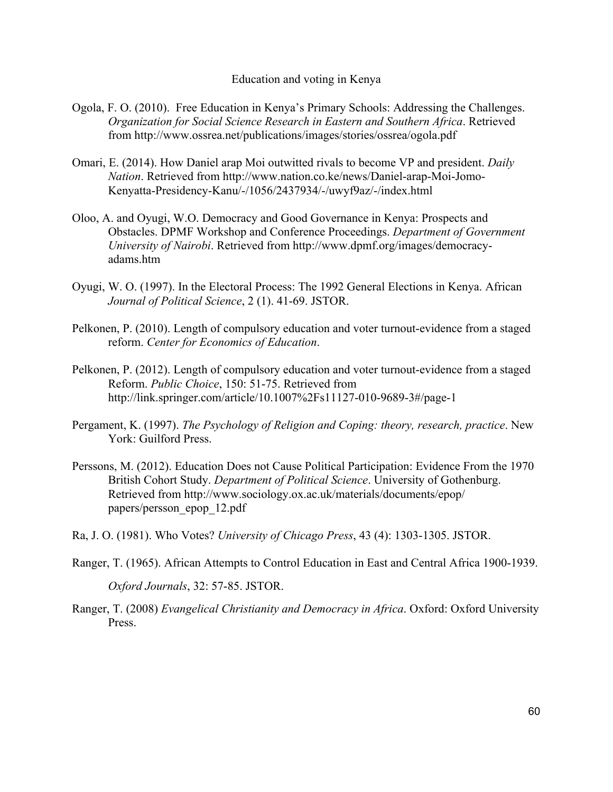- Ogola, F. O. (2010). Free Education in Kenya's Primary Schools: Addressing the Challenges. *Organization for Social Science Research in Eastern and Southern Africa*. Retrieved from http://www.ossrea.net/publications/images/stories/ossrea/ogola.pdf
- Omari, E. (2014). How Daniel arap Moi outwitted rivals to become VP and president. *Daily Nation*. Retrieved from http://www.nation.co.ke/news/Daniel-arap-Moi-Jomo-Kenyatta-Presidency-Kanu/-/1056/2437934/-/uwyf9az/-/index.html
- Oloo, A. and Oyugi, W.O. Democracy and Good Governance in Kenya: Prospects and Obstacles. DPMF Workshop and Conference Proceedings. *Department of Government University of Nairobi*. Retrieved from http://www.dpmf.org/images/democracyadams.htm
- Oyugi, W. O. (1997). In the Electoral Process: The 1992 General Elections in Kenya. African *Journal of Political Science*, 2 (1). 41-69. JSTOR.
- Pelkonen, P. (2010). Length of compulsory education and voter turnout-evidence from a staged reform. *Center for Economics of Education*.
- Pelkonen, P. (2012). Length of compulsory education and voter turnout-evidence from a staged Reform. *Public Choice*, 150: 51-75. Retrieved from http://link.springer.com/article/10.1007%2Fs11127-010-9689-3#/page-1
- Pergament, K. (1997). *The Psychology of Religion and Coping: theory, research, practice*. New York: Guilford Press.
- Perssons, M. (2012). Education Does not Cause Political Participation: Evidence From the 1970 British Cohort Study. *Department of Political Science*. University of Gothenburg. Retrieved from http://www.sociology.ox.ac.uk/materials/documents/epop/ papers/persson\_epop\_12.pdf
- Ra, J. O. (1981). Who Votes? *University of Chicago Press*, 43 (4): 1303-1305. JSTOR.
- Ranger, T. (1965). African Attempts to Control Education in East and Central Africa 1900-1939.

*Oxford Journals*, 32: 57-85. JSTOR.

Ranger, T. (2008) *Evangelical Christianity and Democracy in Africa*. Oxford: Oxford University Press.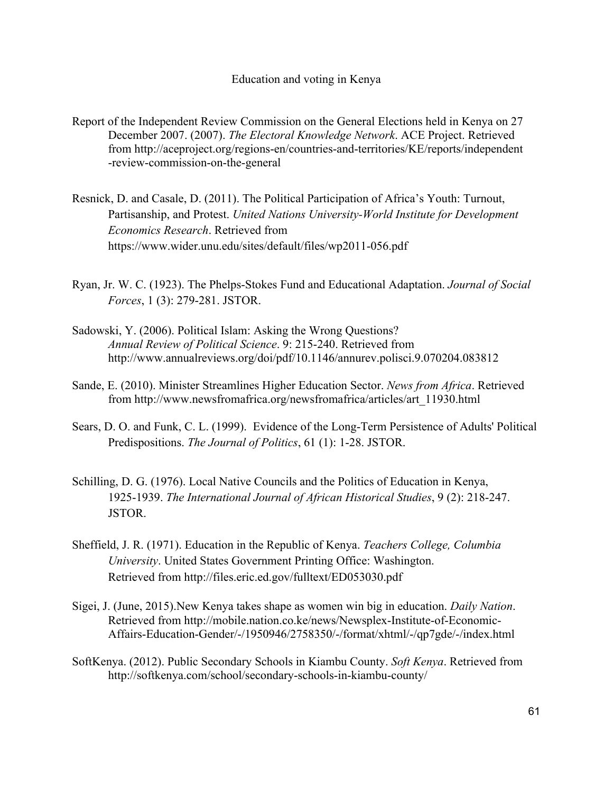- Report of the Independent Review Commission on the General Elections held in Kenya on 27 December 2007. (2007). *The Electoral Knowledge Network*. ACE Project. Retrieved from http://aceproject.org/regions-en/countries-and-territories/KE/reports/independent -review-commission-on-the-general
- Resnick, D. and Casale, D. (2011). The Political Participation of Africa's Youth: Turnout, Partisanship, and Protest. *United Nations University-World Institute for Development Economics Research*. Retrieved from https://www.wider.unu.edu/sites/default/files/wp2011-056.pdf
- Ryan, Jr. W. C. (1923). The Phelps-Stokes Fund and Educational Adaptation. *Journal of Social Forces*, 1 (3): 279-281. JSTOR.
- Sadowski, Y. (2006). Political Islam: Asking the Wrong Questions? *Annual Review of Political Science*. 9: 215-240. Retrieved from http://www.annualreviews.org/doi/pdf/10.1146/annurev.polisci.9.070204.083812
- Sande, E. (2010). Minister Streamlines Higher Education Sector. *News from Africa*. Retrieved from http://www.newsfromafrica.org/newsfromafrica/articles/art\_11930.html
- Sears, D. O. and Funk, C. L. (1999). Evidence of the Long-Term Persistence of Adults' Political Predispositions. *The Journal of Politics*, 61 (1): 1-28. JSTOR.
- Schilling, D. G. (1976). Local Native Councils and the Politics of Education in Kenya, 1925-1939. *The International Journal of African Historical Studies*, 9 (2): 218-247. JSTOR.
- Sheffield, J. R. (1971). Education in the Republic of Kenya. *Teachers College, Columbia University*. United States Government Printing Office: Washington. Retrieved from http://files.eric.ed.gov/fulltext/ED053030.pdf
- Sigei, J. (June, 2015).New Kenya takes shape as women win big in education. *Daily Nation*. Retrieved from http://mobile.nation.co.ke/news/Newsplex-Institute-of-Economic-Affairs-Education-Gender/-/1950946/2758350/-/format/xhtml/-/qp7gde/-/index.html
- SoftKenya. (2012). Public Secondary Schools in Kiambu County. *Soft Kenya*. Retrieved from http://softkenya.com/school/secondary-schools-in-kiambu-county/